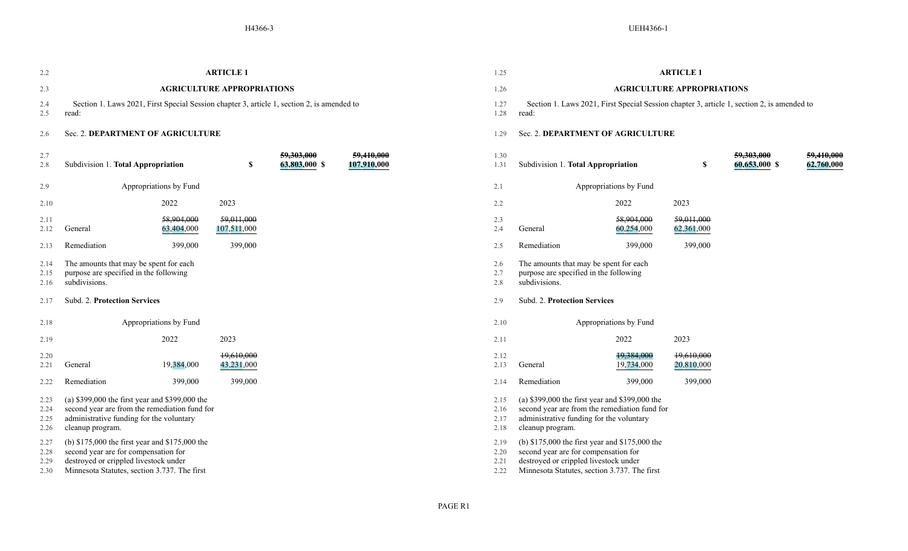| 2.2                          | <b>ARTICLE 1</b>                                                                                                                                                                |                          |                           | 1.25                         | <b>ARTICLE 1</b>                                                                                                                                                                |                                   |                                                                                                   |                          |                          |                             |                          |
|------------------------------|---------------------------------------------------------------------------------------------------------------------------------------------------------------------------------|--------------------------|---------------------------|------------------------------|---------------------------------------------------------------------------------------------------------------------------------------------------------------------------------|-----------------------------------|---------------------------------------------------------------------------------------------------|--------------------------|--------------------------|-----------------------------|--------------------------|
| 2.3                          | <b>AGRICULTURE APPROPRIATIONS</b>                                                                                                                                               |                          |                           |                              | 1.26                                                                                                                                                                            | <b>AGRICULTURE APPROPRIATIONS</b> |                                                                                                   |                          |                          |                             |                          |
| 2.4<br>2.5                   | Section 1. Laws 2021, First Special Session chapter 3, article 1, section 2, is amended to<br>read:                                                                             |                          |                           | 1.27<br>1.28                 | Section 1. Laws 2021, First Special Session chapter 3, article 1, section 2, is amended to<br>read:                                                                             |                                   |                                                                                                   |                          |                          |                             |                          |
| 2.6                          | Sec. 2. DEPARTMENT OF AGRICULTURE                                                                                                                                               |                          |                           |                              | 1.29                                                                                                                                                                            | Sec. 2. DEPARTMENT OF AGRICULTURE |                                                                                                   |                          |                          |                             |                          |
| 2.7<br>2.8                   | Subdivision 1. Total Appropriation                                                                                                                                              |                          | \$                        | 59,303,000<br>63,803,000 \$  | 59,410,000<br>107,910,000                                                                                                                                                       | 1.30<br>1.31                      | Subdivision 1. Total Appropriation                                                                |                          | \$                       | 59,303,000<br>60,653,000 \$ | 59,410,000<br>62,760,000 |
| 2.9                          |                                                                                                                                                                                 | Appropriations by Fund   |                           |                              |                                                                                                                                                                                 | 2.1                               |                                                                                                   | Appropriations by Fund   |                          |                             |                          |
| 2.10                         |                                                                                                                                                                                 | 2022                     | 2023                      |                              |                                                                                                                                                                                 | 2.2                               |                                                                                                   | 2022                     | 2023                     |                             |                          |
| 2.11<br>2.12                 | General                                                                                                                                                                         | 58,904,000<br>63,404,000 | 59,011,000<br>107,511,000 |                              |                                                                                                                                                                                 | 2.3<br>2.4                        | General                                                                                           | 58,904,000<br>60,254,000 | 59,011,000<br>62,361,000 |                             |                          |
| 2.13                         | Remediation                                                                                                                                                                     | 399,000                  | 399,000                   |                              |                                                                                                                                                                                 | 2.5                               | Remediation                                                                                       | 399,000                  | 399,000                  |                             |                          |
| 2.14<br>2.15<br>2.16         | The amounts that may be spent for each<br>purpose are specified in the following<br>subdivisions.                                                                               |                          |                           |                              |                                                                                                                                                                                 | 2.6<br>2.7<br>2.8                 | The amounts that may be spent for each<br>purpose are specified in the following<br>subdivisions. |                          |                          |                             |                          |
| 2.17                         | Subd. 2. Protection Services                                                                                                                                                    |                          |                           | 2.9                          | Subd. 2. Protection Services                                                                                                                                                    |                                   |                                                                                                   |                          |                          |                             |                          |
| 2.18                         | Appropriations by Fund                                                                                                                                                          |                          |                           | 2.10                         | Appropriations by Fund                                                                                                                                                          |                                   |                                                                                                   |                          |                          |                             |                          |
| 2.19                         |                                                                                                                                                                                 | 2022                     | 2023                      |                              |                                                                                                                                                                                 | 2.11                              |                                                                                                   | 2022                     | 2023                     |                             |                          |
| 2.20<br>2.21                 | General                                                                                                                                                                         | 19,384,000               | 19,610,000<br>43,231,000  |                              |                                                                                                                                                                                 | 2.12<br>2.13                      | General                                                                                           | 19,384,000<br>19,734,000 | 19,610,000<br>20,810,000 |                             |                          |
| 2.22                         | Remediation                                                                                                                                                                     | 399,000                  | 399,000                   |                              |                                                                                                                                                                                 | 2.14                              | Remediation                                                                                       | 399,000                  | 399,000                  |                             |                          |
| 2.23<br>2.24<br>2.25<br>2.26 | (a) \$399,000 the first year and \$399,000 the<br>second year are from the remediation fund for<br>administrative funding for the voluntary<br>cleanup program.                 |                          |                           | 2.15<br>2.16<br>2.17<br>2.18 | (a) \$399,000 the first year and \$399,000 the<br>second year are from the remediation fund for<br>administrative funding for the voluntary<br>cleanup program.                 |                                   |                                                                                                   |                          |                          |                             |                          |
| 2.27<br>2.28<br>2.29<br>2.30 | (b) \$175,000 the first year and \$175,000 the<br>second year are for compensation for<br>destroyed or crippled livestock under<br>Minnesota Statutes, section 3.737. The first |                          |                           | 2.19<br>2.20<br>2.21<br>2.22 | (b) \$175,000 the first year and \$175,000 the<br>second year are for compensation for<br>destroyed or crippled livestock under<br>Minnesota Statutes, section 3.737. The first |                                   |                                                                                                   |                          |                          |                             |                          |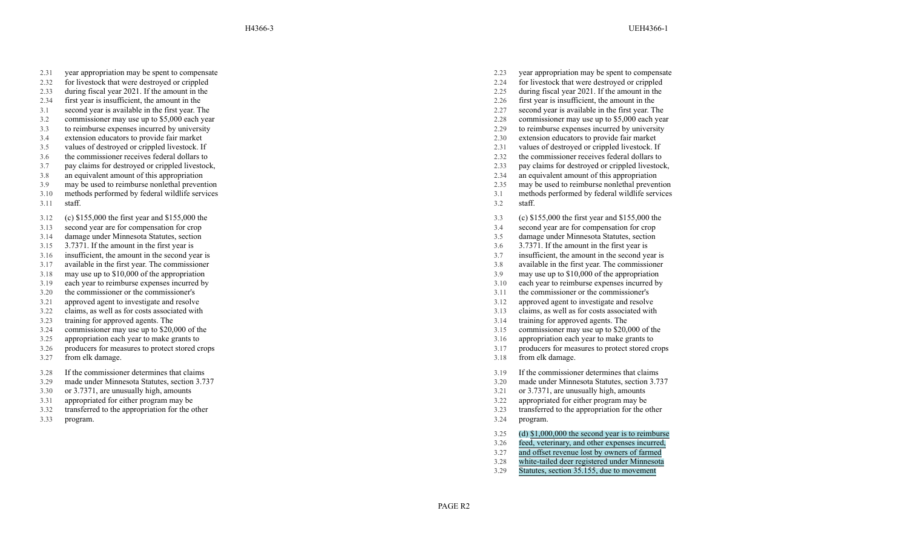- 2.31 year appropriation may be spent to compensate
- 2.32 for livestock that were destroyed or crippled
- 2.33 during fiscal year 2021. If the amount in the 2.25 during fiscal year 2021.
- 2.34 first year is insufficient, the amount in the 2.26 first year is insufficient, the amount in the
- 3.1 second year is available in the first year
- 3.2 commissioner may use up to \$5,000 each year 2.28 commissioner may use up to \$5,000 each year
- 3.3 to reimburse expenses incurred by university 2.29 to reimburse expenses incurred by university
- 3.4 extension educators to provide fair market 2.30 extension educators to provide fair market 2.30 extension educators to provide fair market 2.30 extension educators to provide fair market 2.31 values of destroyed or cri
- 3.5 values of destroyed or crippled livestock. If 2.31 values of destroyed or crippled livestock. If
- 3.6 the commissioner receives federal dollars to 2.32 the commissioner receives federal dollars to
- 3.7 pay claims for destroyed or crippled livestock, 2.33 pay claims for destroyed or crippled livestock,
- 3.8 an equivalent amount of this appropriation 2.34 an equivalent amount of this appropriation 2.35 and equivalent amount of this appropriation 2.35 and equivalent amount of this appropriation 2.35 and  $\frac{2.35}{2.35}$  and
- 
- 3.10 methods performed by federal wildlife services
- 3.11 staff.
- 3.12 (c) \$155,000 the first year and \$155,000 the
- 3.13 second year are for compensation for crop<br>3.14 damage under Minnesota Statutes, section
- 3.14 damage under Minnesota Statutes, section 3.5 damage under Minnesota Statutes, section
- 
- 
- 3.17 available in the first year. The commissioner
- 
- 
- 
- 3.21 approved agent to investigate and resolve 3.12 approved agent to investigate and resolve
- 3.22 claims, as well as for costs associated with 3.13 claims, as well as for costs associated with
- 3.23 training for approved agents. The 3.14 training for approved agents. The
- 3.24 commissioner may use up to \$20,000 of the 3.15 commissioner may use up to \$20,000 of the 3.15 commissioner may use up to \$20,000 of the
- 3.25 appropriation each year to make grants to 3.16 appropriation each year to make grants to
- 3.26 producers for measures to protect stored crops
- 3.27 from elk damage.
- 3.28 If the commissioner determines that claims
- 3.29 made under Minnesota Statutes, section 3.737
- $3.30$  or  $3.7371$ , are unusually high, amounts  $3.21$
- 3.31 appropriated for either program may be 3.22 appropriated for either program may be
- 3.32 transferred to the appropriation for the other
- 3.33 program.
- 2.23 year appropriation may be spent to compensate
- 2.24 for livestock that were destroyed or crippled<br>2.25 during fiscal year 2021. If the amount in the
- 
- 
- . The 2.27 second year is available in the first year . The
	-
	-
	-
	-
	-
	-
	-
- 3.9 may be used to reimburse nonlethal prevention 2.35 may be used to reimburse nonlethal prevention
	- 3.1 methods performed by federal wildlife services
	- 3.2 staff.
	- 3.3 (c) \$155,000 the first year and \$155,000 the
	- 3.4 second year are for compensation for crop
	-
- 3.15 3.7371. If the amount in the first year is 3.6 3.7371. If the amount in the first year is
- 3.16 insufficient, the amount in the second year is 3.7 insufficient, the amount in the second year is
	- . The commissioner 3.8 available in the first year . The commissioner
- 3.18 may use up to \$10,000 of the appropriation 3.9 may use up to \$10,000 of the appropriation
- 3.19 each year to reimburse expenses incurred by 3.10 each year to reimburse expenses incurred by
- 3.20 the commissioner or the commissioner's 3.11 the commissioner or the commissioner's 3.11 the commissioner's
	-
	-
	-
	-
	-
	- 3.17 producers for measures to protect stored crops
	- 3.18 from elk damage.
	- 3.19 If the commissioner determines that claims
	- 3.20 made under Minnesota Statutes, section 3.737<br>3.21 or 3.7371, are unusually high, amounts
	-
	-
	- 3.23 transferred to the appropriation for the other
	- 3.24 program.
	- 3.25 (d) \$1,000,000 the second year is to reimburse
	- 3.26 feed, veterinary, and other expenses incurred,
	- 3.27 and offset revenue lost by owners of farmed
	- 3.28 white-tailed deer registered under Minnesota
	- 3.29 Statutes, section 35.155, due to movement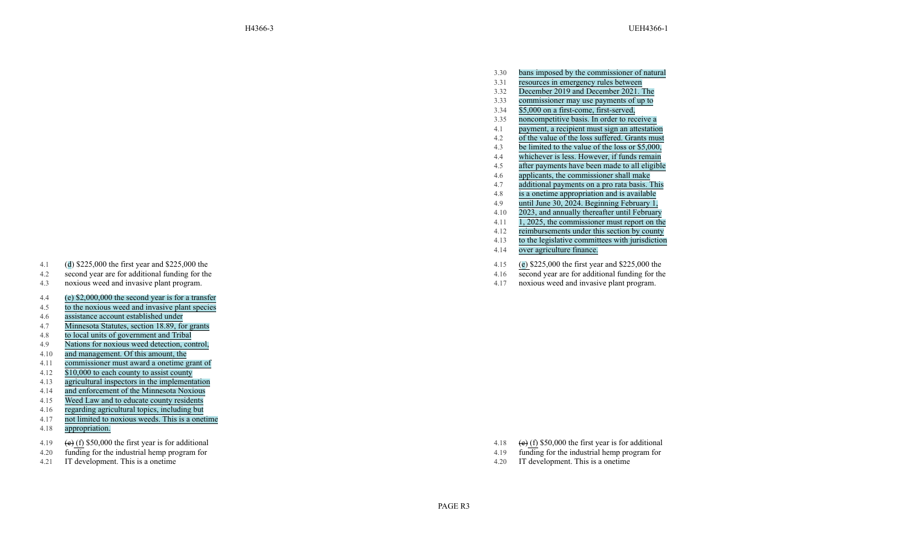- 3.30 bans imposed by the commissioner of natural
- 3.31 resources in emergency rules between
- 3.32 December 2019 and December 2021. The
- 3.33 commissioner may use payments of up to
- 3.34 \$5,000 on a first-come, first-served,
- 3.35 noncompetitive basis. In order to receive a
- 4.1 payment, a recipient must sign an attestation
- 4.2 of the value of the loss suffered. Grants must
- 4.3 be limited to the value of the loss or \$5,000,
- 4.4 whichever is less. However , if funds remain
- 4.5 after payments have been made to all eligible
- 4.6 applicants, the commissioner shall make
- 4.7 additional payments on a pro rata basis. This
- $4.8$ is a onetime appropriation and is available
- 4.9 until June 30, 2024. Beginning February 1,
- 4.10 2023, and annually thereafter until February
- 4.11 1, 2025, the commissioner must report on the
- 4.12 reimbursements under this section by county
- 4.13 to the legislative committees with jurisdiction
- 4.14 over agriculture finance.
- 4.15 ( e ) \$225,000 the first year and \$225,000 the
- 4.16 second year are for additional funding for the
- 4.17 noxious weed and invasive plant program.
- 4.1 ( d ) \$225,000 the first year and \$225,000 the
- 4.2 second year are for additional funding for the
- 4.3 noxious weed and invasive plant program.
- 4.4 (e) \$2,000,000 the second year is for a transfer
- 4.5 to the noxious weed and invasive plant species
- 4.6 assistance account established under
- 4.7 Minnesota Statutes, section 18.89, for grants
- 4.8 to local units of government and Tribal
- 4.9 Nations for noxious weed detection, control,
- 4.10 and management. Of this amount, the
- 4.11 commissioner must award a onetime grant of
- 4.12 \$10,000 to each county to assist county
- 4.13 agricultural inspectors in the implementation
- 4.14 and enforcement of the Minnesota Noxious
- 4.15 Weed Law and to educate county residents
- 4.16 regarding agricultural topics, including but
- 4.17 not limited to noxious weeds. This is a onetime
- 4.18 appropriation.
- 4.19  $(e)$  (f) \$50,000 the first year is for additional
- 4.20 funding for the industrial hemp program for
- 4.21 IT development. This is a onetime

PAGE R3

- 4.18  $(e)$  (f) \$50,000 the first year is for additional
- 4.19 funding for the industrial hemp program for
- a onetime 4.20 IT development. This is a onetime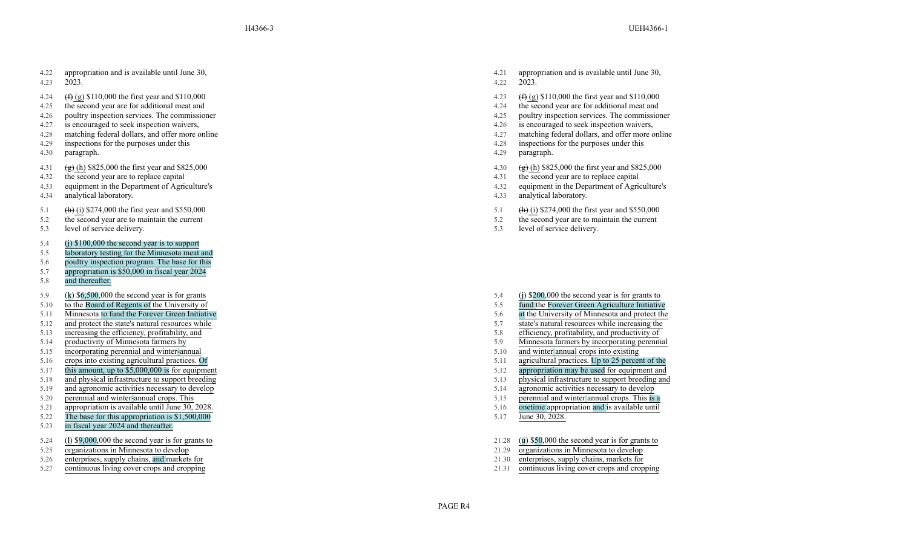- 4.23 2023.
- 4.24  $(f)$  (g) \$110,000 the first year and \$110,000
- 4.25 the second year are for additional meat and
- 4.26 poultry inspection services. The commissioner 4.25 poultry inspection services. The commissioner
- 4.27 is encouraged to seek inspection waivers, 4.26 is encouraged to seek inspection waivers,
- 4.28 matching federal dollars, and offer more online 4.27 matching federal dollars, and offer more online 4.27
- 4.29 inspections for the purposes under this
- 4.30 paragraph.
- 4.31  $\left(\frac{1}{2}\right)$  (h) \$825,000 the first year and \$825,000
- 4.32 the second year are to replace capital
- 4.33 equipment in the Department of Agriculture's
- 4.34 analytical laboratory.
- 5.1 (h) (i) \$274,000 the first year and \$550,000
- 5.2 the second year are to maintain the current
- 5.3 level of service delivery.
- 5.4 (j) \$100,000 the second year is to support
- 5.5 laboratory testing for the Minnesota meat and
- 5.6 poultry inspection program. The base for this
- 5.7 appropriation is \$50,000 in fiscal year 2024
- 5.8 and thereafter.
- 5.9 ( k ) \$6,500,000 the second year is for grants
- 5.10 to the Board of Regents of the University of
- 5.11 Minnesota to fund the Forever Green Initiative 5.12 and protect the state's natural resources while increasing the 5.12 and protect the state's natural resources while increasing the
- 5.12 and protect the state's natural resources while 5.7 state increases while increases while increases while increases while increases while increases while increases while increases while increases while increases while
- 5.13 increasing the efficiency, profitability, and  $\overline{5.8}$  efficiency, profitability, and productivity of
- 
- 5.15 incorporating perennial and winter
- 
- 5.17 this amount, up to  $$5,000,000$  is for equipment  $$5,12$
- 
- 
- 5.20 perennial and winter-annual crops. This
- 5.21 appropriation is available until June 30, 2028.
- 5.22 The base for this appropriation is \$1,500,000
- 5.23 in fiscal year 2024 and thereafter.
- 5.24 ( l ) \$9,000,000 the second year is for grants to
- 5.25 organizations in Minnesota to develop
- 5.26 enterprises, supply chains, and markets for 21.30 entine entity of the 21.30 entine entine over crops and cropping 21.31 entine entine 21.31
- 
- 4.21 appropriation and is available until June 30, 4.22 2023.
- 4.23  $(f)$  (g) \$110,000 the first year and \$110,000
- 
- 4.24 the second year are for additional meat and<br>4.25 poultry inspection services. The commissioner
- 
- 
- 4.28 inspections for the purposes under this
- 4.29 paragraph.
- 4.30  $\left(\frac{1}{2}\right)$  (h) \$825,000 the first year and \$825,000
- 4.31 the second year are to replace capital
- 4.32 equipment in the Department of Agriculture's
- 4.33 analytical laboratory.
- 5.1 (h) (i) \$274,000 the first year and \$550,000
- 5.2 the second year are to maintain the current
- 5.3 level of service delivery.

- 5.4 (j ) \$200,000 the second year is for grants to
- 5.5 fund the Forever Green Agriculture Initiative<br>5.6 at the University of Minnesota and protect the
- 
- 
- 
- 5.14 productivity of Minnesota farmers by 5.9 Minnesota farmers by incorporating perennial
	- $5.10$  and winter annual crops into existing
- 5.16 crops into existing agricultural practices. Of 5.11 agricultural practices. Up to 25 percent of the<br>5.17 this amount, up to \$5,000,000 is for equipment
	-
- 5.18 and physical infrastructure to support breeding 5.13 physical infrastructure to support breeding and
- 5.19 and agronomic activities necessary to develop 5.14 agronomic activities necessary to develop
	- $5.15$  perennial and winter annual crops. This is a
	- 5.16 onetime appropriation and is available until
	- 5.17 June 30, 2028.

PAGE R4

- 21.28 ( u ) \$50,000 the second year is for grants to
- 21.29 organizations in Minnesota to develop<br>21.30 enterprises, supply chains, markets for
- 
- 5.27 continuous living cover crops and cropping 21.31 continuous living cover crops and cropping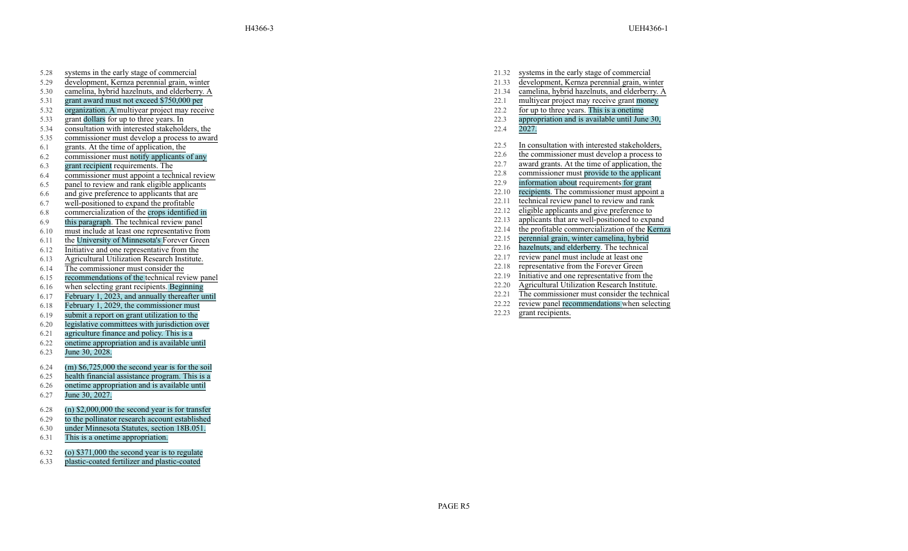- 5.28 systems in the early stage of commercial
- 5.29 development, Kernza perennial grain, winter
- 5.30 camelina, hybrid hazelnuts, and elderberry
- 5.31 grant award must not exceed \$750,000 per 22.1 multiyear project may receive grant money
- 5.32 organization. A multiyear project may receive 22.2 for up to three years. This is
- 
- 5.34 consultation with interested stakeholders, the 22.4 2027.
- 5.35 commissioner must develop a process to award
- 6.1 grants. At the time of application, the
- 6.2 commissioner must notify applicants of any
- 
- 22.8 commissioner must appoint a technical review<br>  $\frac{22.8}{22.9}$  commissioner must provide to the applicant 6.5 commissioner must provide to the application about requirements for grant
- $22.9$  panel to review and rank eligible applicants  $22.9$ <br>6.6 and give preference to applicants that are  $22.10$
- 
- 
- $22.12$ <br>
22.12 commercialization of the crops identified in  $22.13$ <br>  $22.13$
- 
- 22.14 the profitable commercialization of the Kerna 6.10 must include at least one representative from the Kerna 6.11 the University of Minnesota's Forever Green 22.15 perennial grain, winter camelina, hybrid
- 6.11 **the University of Minnesota's Forever Green** 22.15 **percent** 6.12 the University of Minnesota's Forever Green 22.16 **12.16** 22.16
- 6.12 Initiative and one representative from the 22.16 hazelnuts, and elderberry. The technical 6.13 Apricultural Utilization Research Institute 22.17 The technical Control of the search Institute 22.17 The second of the se
- <sup>22.17</sup> review panel must include at least one 6.14<br>
<sup>22.17</sup> review panel must include at least one 6.14<br>
<sup>22.18</sup> representative from the Forever Green
- 22.18 The commissioner must consider the<br>
<u>Example of the technical review panel</u><br>
6.15 The commendations of the technical review panel
- 22.19 Initiative and one representative from the recommendations of the technical review panel<br>6.16 Representative from the experiments Regiming<br>6.16 Representative from the experiments Regiming
- 
- $22.21$  Tebruary 1, 2023, and annually thereafter until  $22.21$  Eshruary 1, 2023, the commissioner must consider the technical  $22.22$
- 6.18 February 1, 2029, the commissioner must
- 6.19 submit a report on grant utilization to the
- 6.20 legislative committees with jurisdiction over
- 6.21 agriculture finance and policy . This is a
- 6.22 onetime appropriation and is available until
- 6.23 June 30, 2028.
- 6.24 (m) \$6,725,000 the second year is for the soil
- 6.25 health financial assistance program. This is a
- 6.26 onetime appropriation and is available until
- 6.27 June 30, 2027.
- 6.28 (n) \$2,000,000 the second year is for transfer
- 6.29 to the pollinator research account established
- 6.30 under Minnesota Statutes, section 18B.051.
- 6.31 This is a onetime appropriation.
- 6.32 (o) \$371,000 the second year is to regulate
- 6.33 plastic-coated fertilizer and plastic-coated
- 21.32 systems in the early stage of commercial
- 21.33 development, Kernza perennial grain, winter
- . A 21.34 camelina, hybrid hazelnuts, and elderberry . A
	-
	- for up to three years. This is a onetime
- 5.33 grant dollars for up to three years. In 22.3 appropriation and is available until June 30,
	-
	- 22.5 In consultation with interested stakeholders,
	- 22.6 the commissioner must develop a process to
- <sup>22.7</sup> award grants. At the time of application, the <sup>22.7</sup> award grants. At the time of application, the commissioner must appoint a technical review <sup>22.8</sup> commissioner must appoint a technical review
	-
	-
	- recipients. The commissioner must appoint a
- the and give preference to applicants that are<br>  $\frac{22.10}{22.11}$  recipients. The commissioner must appoint a few panel to review and rank<br>  $\frac{22.11}{22.11}$  rechnical review panel to review and rank
- <sup>22.11</sup> technical review panel to review and rank 6.7 well-positioned to expand the profitable to review and rank  $\frac{22.11}{22.12}$  technical review panel to review and rank  $\frac{22.11}{22.12}$  eligible applicants and give p
	-
- 22.13 applicants that are well-positioned to expand<br>
22.14 be profitable commercialization of the Kernza<br>
<sup>6.10</sup> the profitable commercialization of the Kernza
	-
	-
	- hazelnuts, and elderberry. The technical
	-
	-
	-
	-
- 22.20 Agricultural Utilization Research Institute.<br>
6.17 February 1.2023 and annually thereafter until<br>
6.17 February 1.2023 and annually thereafter until
	- review panel recommendations when selecting
	- 22.23 grant recipients.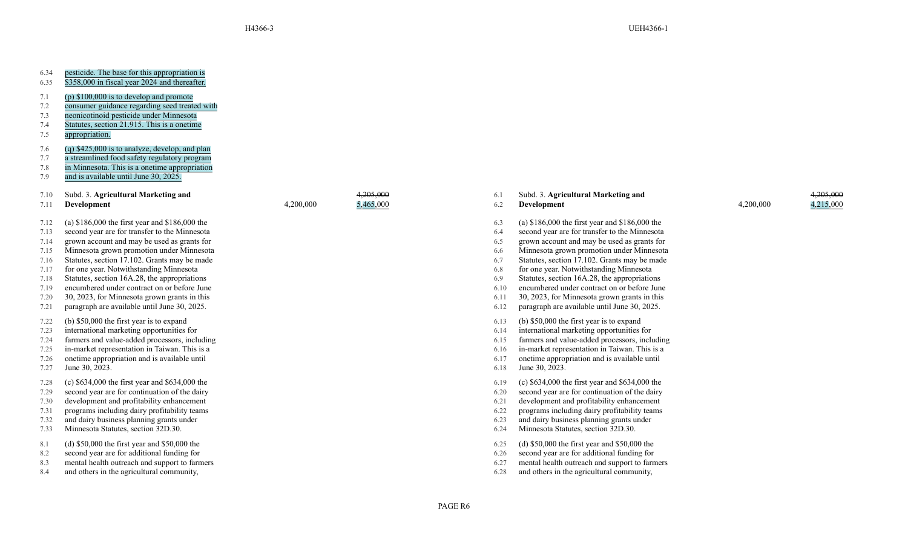| 6.34<br>6.35                                                                 | pesticide. The base for this appropriation is<br>\$358,000 in fiscal year 2024 and thereafter.                                                                                                                                                                                                                                                                                                                                                                                          |           |                                   |
|------------------------------------------------------------------------------|-----------------------------------------------------------------------------------------------------------------------------------------------------------------------------------------------------------------------------------------------------------------------------------------------------------------------------------------------------------------------------------------------------------------------------------------------------------------------------------------|-----------|-----------------------------------|
| 7.1<br>7.2<br>7.3<br>7.4<br>7.5                                              | (p) $$100,000$ is to develop and promote<br>consumer guidance regarding seed treated with<br>neonicotinoid pesticide under Minnesota<br>Statutes, section 21.915. This is a onetime<br>appropriation.                                                                                                                                                                                                                                                                                   |           |                                   |
| 7.6<br>7.7<br>7.8<br>7.9                                                     | $(q)$ \$425,000 is to analyze, develop, and plan<br>a streamlined food safety regulatory program<br>in Minnesota. This is a onetime appropriation<br>and is available until June 30, 2025.                                                                                                                                                                                                                                                                                              |           |                                   |
| 7.10<br>7.11                                                                 | Subd. 3. Agricultural Marketing and<br>Development                                                                                                                                                                                                                                                                                                                                                                                                                                      | 4,200,000 | <del>4.205.000</del><br>5,465,000 |
| 7.12<br>7.13<br>7.14<br>7.15<br>7.16<br>7.17<br>7.18<br>7.19<br>7.20<br>7.21 | (a) $$186,000$ the first year and $$186,000$ the<br>second year are for transfer to the Minnesota<br>grown account and may be used as grants for<br>Minnesota grown promotion under Minnesota<br>Statutes, section 17.102. Grants may be made<br>for one year. Notwithstanding Minnesota<br>Statutes, section 16A.28, the appropriations<br>encumbered under contract on or before June<br>30, 2023, for Minnesota grown grants in this<br>paragraph are available until June 30, 2025. |           |                                   |
| 7.22<br>7.23<br>7.24<br>7.25<br>7.26<br>7.27                                 | (b) $$50,000$ the first year is to expand<br>international marketing opportunities for<br>farmers and value-added processors, including<br>in-market representation in Taiwan. This is a<br>onetime appropriation and is available until<br>June 30, 2023.                                                                                                                                                                                                                              |           |                                   |
| 7.28<br>7.29<br>7.30<br>7.31<br>7.32<br>7.33                                 | (c) $$634,000$ the first year and $$634,000$ the<br>second year are for continuation of the dairy<br>development and profitability enhancement<br>programs including dairy profitability teams<br>and dairy business planning grants under<br>Minnesota Statutes, section 32D.30.                                                                                                                                                                                                       |           |                                   |
| 8.1<br>8.2<br>8.3<br>8.4                                                     | (d) $$50,000$ the first year and $$50,000$ the<br>second year are for additional funding for<br>mental health outreach and support to farmers<br>and others in the agricultural community,                                                                                                                                                                                                                                                                                              |           |                                   |

6.1 Subd. 3. **Agricultural Marketing and**

6.13 (b) \$50,000 the first year is to expand 6.14 international marketing opportunities for

6.15 farmers and value-added processors, including 7.25 in-market representation in Taiwan. This is a 6.16 in-market representation in Taiwan. This is a 6.17 onetime appropriation and is available until

6.19 (c) \$634,000 the first year and \$634,000 the 6.20 second year are for continuation of the dairy

7.30 development and profitability enhancement 6.21 development and profitability enhancement 7.31 programs including dairy profitability teams 6.22 programs including dairy profitability teams 6.23 and dairy business planning grants under 6.24 Minnesota Statutes, section 32D.30.

6.25 (d) \$50,000 the first year and \$50,000 the 6.26 second year are for additional funding for

8.3 mental health outreach and support to farmers 6.27 mental health outreach and support to farmers 8.4 and others in the agricultural community, 6.28 and others in the agricultural community,

6.3 (a) \$186,000 the first year and \$186,000 the 6.4 second year are for transfer to the Minnesota

7.14 grown account and may be used as grants for 6.5 grown account and may be used as grants for 7.15 Minnesota grown promotion under Minnesota 6.6 Minnesota grown promotion under Minnesota 6.7 Statutes, section 17.102. Grants may be made 7.17 for one year. Notwithstanding Minnesota 6.8 for one year. Notwithstanding Minnesota 6.9 Statutes, section 16A.28, the appropriations 7.19 encumbered under contract on or before June 6.10 encumbered under contract on or before June 6.11 30, 2023, for Minnesota grown grants in this 6.12 paragraph are available until June 30, 2025.

6.2 **Development**

6.18 June 30, 2023.

PAGE R6

# 4,200,000 4,215,000

4,205,000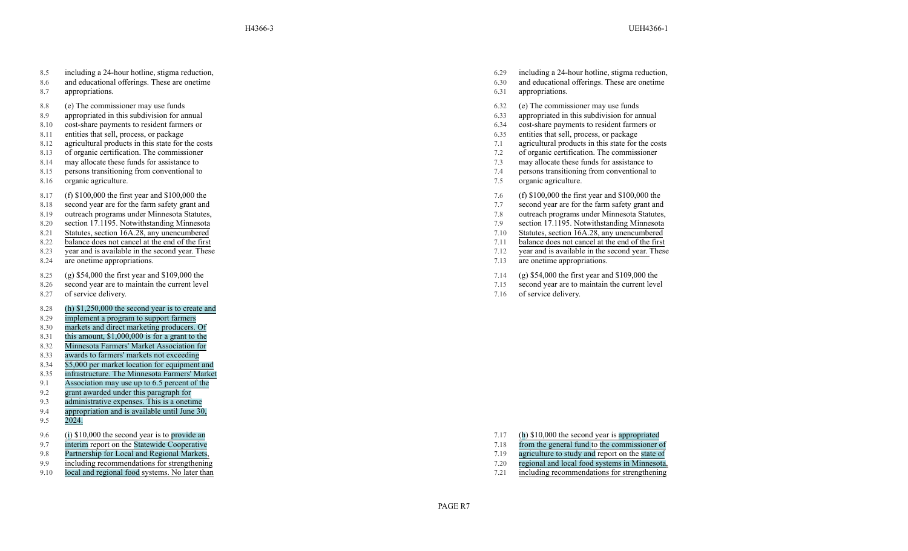- 8.5 including a 24-hour hotline, stigma reduction,
- 8.6 and educational offerings. These are onetime
- 8.7 appropriations.
- 8.8 (e) The commissioner may use funds
- 8.9 appropriated in this subdivision for annual
- 8.10 cost-share payments to resident farmers or 6.34 cost-share payments to resident farmers or
- 
- 
- 
- 
- 8.15 persons transitioning from conventional to
- 8.16 organic agriculture.
- 8.17 (f) \$100,000 the first year and \$100,000 the
- 8.18 second year are for the farm safety grant and
- 8.19 outreach programs under Minnesota Statutes, 7.8 outreach programs under Minnesota Statutes, 7.8
- 8.20 section 17.1195. Notwithstanding Minnesota<br>8.21 Statutes, section 16A.28, any unencumbered 7.10 Statutes, section 16A.28, any unencumbered 7.10
- 
- 8.22 balance does not cancel at the end of the first  $7.11$
- 8.23 year and is available in the second year . These
- 8.24 are onetime appropriations.
- 8.25 (g) \$54,000 the first year and \$109,000 the
- 8.26 second year are to maintain the current level
- 8.27 of service delivery.
- 8.28 (h) \$1,250,000 the second year is to create and
- 8.29 implement a program to support farmers
- 8.30 markets and direct marketing producers. Of
- 8.31 this amount, \$1,000,000 is for a grant to the
- 8.32 Minnesota Farmers' Market Association for
- 8.33 awards to farmers' markets not exceeding
- 8.34 \$5,000 per market location for equipment and
- 8.35 infrastructure. The Minnesota Farmers' Market
- 9.1 Association may use up to 6.5 percent of the
- 9.2 grant awarded under this paragraph for
- 9.3 administrative expenses. This is a onetime
- 9.4 appropriation and is available until June 30,
- 9.5 2024.
- 9.6 ( i ) \$10,000 the second year is to provide an
- 
- 9.7 interim report on the Statewide Cooperative<br>9.8 Partnership for Local and Regional Markets,
- 9.8 Partnership for Local and Regional Markets, 2008 and report on the state of the state of the state of the state of the state of the state of the state of the state of the state of the state of the state of the state of
- 9.10 local and regional food systems. No later than  $\frac{7.21}{2}$  including recommendations for strengthening
- 6.29 including a 24-hour hotline, stigma reduction,
- 6.30 and educational offerings. These are onetime
- 6.31 appropriations.
- 6.32 (e) The commissioner may use funds
- 6.33 appropriated in this subdivision for annual
- 
- 8.11 entities that sell, process, or package 6.35 entities that sell, process, or package 6.35
- 8.12 agricultural products in this state for the costs 3.1 agricultural products in this state for the costs 3.1 agricultural products in this state for the costs
- 8.13 of organic certification. The commissioner 7.2 of organic certification. The commissioner
- 8.14 may allocate these funds for assistance to 7.3 may allocate these funds for assistance to 7.3 may allocate these funds for assistance to
	- 7.4 persons transitioning from conventional to
	- 7.5 organic agriculture.
	- 7.6 (f) \$100,000 the first year and \$100,000 the
	- 7.7 second year are for the farm safety grant and<br>7.8 outreach programs under Minnesota Statutes,
	-
	-
- 8.21 Statutes, section 16A.28, any unencumbered 7.10 Statutes, section 16A.28, any unencumbered balance does not cancel at the end of the first 7.11 balance does not cancel at the end of the first 7.11 balance does not can
	-
	- 7.12 year and is available in the second year . These
	- 7.13 are onetime appropriations.
	- 7.14 (g) \$54,000 the first year and \$109,000 the
	- 7.15 second year are to maintain the current level
	- 7.16 of service delivery.

- 7.17 ( h ) \$10,000 the second year is appropriated
- 7.18 from the general fund to the commissioner of
- 
- 9.9 including recommendations for strengthening  $\frac{7.20}{2}$  regional and local food systems in Minnesota,
	-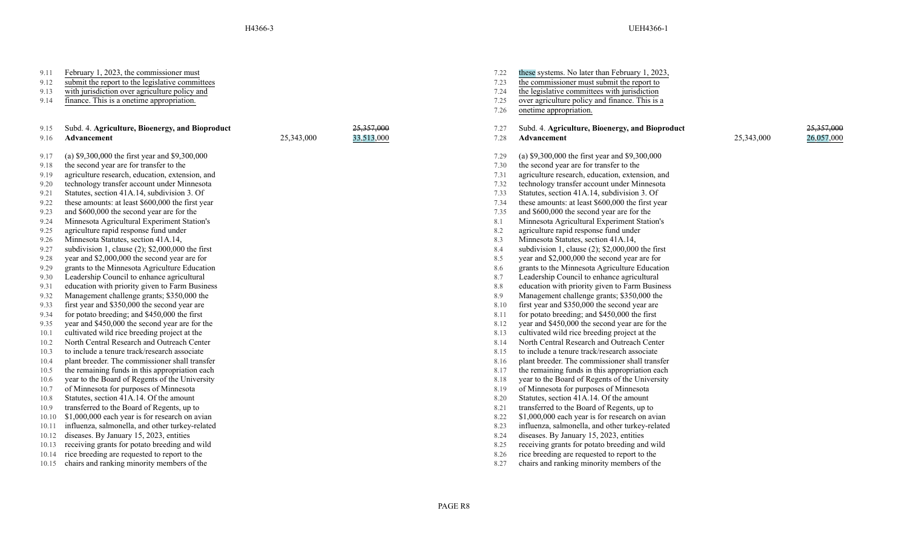| 9.11<br>9.12 | February 1, 2023, the commissioner must<br>submit the report to the legislative committees |            |            | 7.22<br>7.23 | these systems. No later than February 1, 2023.<br>the commissioner must submit the report to |
|--------------|--------------------------------------------------------------------------------------------|------------|------------|--------------|----------------------------------------------------------------------------------------------|
| 9.13         | with jurisdiction over agriculture policy and                                              |            |            | 7.24         | the legislative committees with jurisdiction                                                 |
| 9.14         | finance. This is a onetime appropriation.                                                  |            |            | 7.25         | over agriculture policy and finance. This is a                                               |
|              |                                                                                            |            |            | 7.26         | onetime appropriation.                                                                       |
| 9.15         | Subd. 4. Agriculture, Bioenergy, and Bioproduct                                            |            | 25,357,000 | 7.27         | Subd. 4. Agriculture, Bioenergy, and Bioprod                                                 |
| 9.16         | Advancement                                                                                | 25,343,000 | 33,513,000 | 7.28         | Advancement                                                                                  |
| 9.17         | (a) $$9,300,000$ the first year and $$9,300,000$                                           |            |            | 7.29         | (a) $$9,300,000$ the first year and $$9,300,000$                                             |
| 9.18         | the second year are for transfer to the                                                    |            |            | 7.30         | the second year are for transfer to the                                                      |
| 9.19         | agriculture research, education, extension, and                                            |            |            | 7.31         | agriculture research, education, extension, and                                              |
| 9.20         | technology transfer account under Minnesota                                                |            |            | 7.32         | technology transfer account under Minnesota                                                  |
| 9.21         | Statutes, section 41A.14, subdivision 3. Of                                                |            |            | 7.33         | Statutes, section 41A.14, subdivision 3. Of                                                  |
| 9.22         | these amounts: at least \$600,000 the first year                                           |            |            | 7.34         | these amounts: at least \$600,000 the first year                                             |
| 9.23         | and \$600,000 the second year are for the                                                  |            |            | 7.35         | and \$600,000 the second year are for the                                                    |
| 9.24         | Minnesota Agricultural Experiment Station's                                                |            |            | 8.1          | Minnesota Agricultural Experiment Station's                                                  |
| 9.25         | agriculture rapid response fund under                                                      |            |            | 8.2          | agriculture rapid response fund under                                                        |
| 9.26         | Minnesota Statutes, section 41A.14,                                                        |            |            | 8.3          | Minnesota Statutes, section 41A.14,                                                          |
| 9.27         | subdivision 1, clause (2); \$2,000,000 the first                                           |            |            | 8.4          | subdivision 1, clause (2); \$2,000,000 the first                                             |
| 9.28         | year and \$2,000,000 the second year are for                                               |            |            | 8.5          | year and \$2,000,000 the second year are for                                                 |
| 9.29         | grants to the Minnesota Agriculture Education                                              |            |            | 8.6          | grants to the Minnesota Agriculture Education                                                |
| 9.30         | Leadership Council to enhance agricultural                                                 |            |            | 8.7          | Leadership Council to enhance agricultural                                                   |
| 9.31         | education with priority given to Farm Business                                             |            |            | 8.8          | education with priority given to Farm Business                                               |
| 9.32         | Management challenge grants; \$350,000 the                                                 |            |            | 8.9          | Management challenge grants; \$350,000 the                                                   |
| 9.33         | first year and \$350,000 the second year are                                               |            |            | 8.10         | first year and \$350,000 the second year are                                                 |
| 9.34         | for potato breeding; and \$450,000 the first                                               |            |            | 8.11         | for potato breeding; and \$450,000 the first                                                 |
| 9.35         | year and \$450,000 the second year are for the                                             |            |            | 8.12         | year and \$450,000 the second year are for the                                               |
| 10.1         | cultivated wild rice breeding project at the                                               |            |            | 8.13         | cultivated wild rice breeding project at the                                                 |
| 10.2         | North Central Research and Outreach Center                                                 |            |            | 8.14         | North Central Research and Outreach Center                                                   |
| 10.3         | to include a tenure track/research associate                                               |            |            | 8.15         | to include a tenure track/research associate                                                 |
| 10.4         | plant breeder. The commissioner shall transfer                                             |            |            | 8.16         | plant breeder. The commissioner shall transfer                                               |
| 10.5         | the remaining funds in this appropriation each                                             |            |            | 8.17         | the remaining funds in this appropriation each                                               |
| 10.6         | year to the Board of Regents of the University                                             |            |            | 8.18         | year to the Board of Regents of the University                                               |
| 10.7         | of Minnesota for purposes of Minnesota                                                     |            |            | 8.19         | of Minnesota for purposes of Minnesota                                                       |
| 10.8         | Statutes, section 41A.14. Of the amount                                                    |            |            | 8.20         | Statutes, section 41A.14. Of the amount                                                      |
| 10.9         | transferred to the Board of Regents, up to                                                 |            |            | 8.21         | transferred to the Board of Regents, up to                                                   |
| 10.10        | \$1,000,000 each year is for research on avian                                             |            |            | 8.22         | \$1,000,000 each year is for research on avian                                               |
| 10.11        | influenza, salmonella, and other turkey-related                                            |            |            | 8.23         | influenza, salmonella, and other turkey-related                                              |
| 10.12        | diseases. By January 15, 2023, entities                                                    |            |            | 8.24         | diseases. By January 15, 2023, entities                                                      |
| 10.13        | receiving grants for potato breeding and wild                                              |            |            | 8.25         | receiving grants for potato breeding and wild                                                |
| 10.14        | rice breeding are requested to report to the                                               |            |            | 8.26         | rice breeding are requested to report to the                                                 |
| 10.15        | chairs and ranking minority members of the                                                 |            |            | 8.27         | chairs and ranking minority members of the                                                   |
|              |                                                                                            |            |            |              |                                                                                              |

| 7.22 | these systems. No later than February 1, 2023,      |            |            |
|------|-----------------------------------------------------|------------|------------|
| 7.23 | the commissioner must submit the report to          |            |            |
| 7.24 | the legislative committees with jurisdiction        |            |            |
| 7.25 | over agriculture policy and finance. This is a      |            |            |
| 7.26 | onetime appropriation.                              |            |            |
|      |                                                     |            |            |
| 7.27 | Subd. 4. Agriculture, Bioenergy, and Bioproduct     |            | 25,357,000 |
| 7.28 | <b>Advancement</b>                                  | 25,343,000 | 26,057,000 |
| 7.29 | (a) \$9,300,000 the first year and \$9,300,000      |            |            |
| 7.30 | the second year are for transfer to the             |            |            |
| 7.31 | agriculture research, education, extension, and     |            |            |
| 7.32 | technology transfer account under Minnesota         |            |            |
| 7.33 | Statutes, section 41A.14, subdivision 3. Of         |            |            |
| 7.34 | these amounts: at least \$600,000 the first year    |            |            |
| 7.35 | and \$600,000 the second year are for the           |            |            |
| 8.1  | Minnesota Agricultural Experiment Station's         |            |            |
| 8.2  | agriculture rapid response fund under               |            |            |
| 8.3  | Minnesota Statutes, section 41A.14,                 |            |            |
| 8.4  | subdivision 1, clause $(2)$ ; \$2,000,000 the first |            |            |
| 8.5  | year and \$2,000,000 the second year are for        |            |            |
| 8.6  | grants to the Minnesota Agriculture Education       |            |            |
| 8.7  | Leadership Council to enhance agricultural          |            |            |
| 8.8  | education with priority given to Farm Business      |            |            |
| 8.9  | Management challenge grants; \$350,000 the          |            |            |
| 8.10 | first year and \$350,000 the second year are        |            |            |
| 8.11 | for potato breeding; and \$450,000 the first        |            |            |
| 8.12 | year and \$450,000 the second year are for the      |            |            |
| 8.13 | cultivated wild rice breeding project at the        |            |            |
| 8.14 | North Central Research and Outreach Center          |            |            |
| 8.15 | to include a tenure track/research associate        |            |            |
| 8.16 | plant breeder. The commissioner shall transfer      |            |            |
| 8.17 | the remaining funds in this appropriation each      |            |            |
| 8.18 | year to the Board of Regents of the University      |            |            |
| 8.19 | of Minnesota for purposes of Minnesota              |            |            |
| 8.20 | Statutes, section 41A.14. Of the amount             |            |            |
| 8.21 | transferred to the Board of Regents, up to          |            |            |
| 8.22 | \$1,000,000 each year is for research on avian      |            |            |
| 8.23 | influenza, salmonella, and other turkey-related     |            |            |
| 8.24 | diseases. By January 15, 2023, entities             |            |            |
| 8.25 | receiving grants for potato breeding and wild       |            |            |
| 8.26 | rice breeding are requested to report to the        |            |            |
| 8.27 | chairs and ranking minority members of the          |            |            |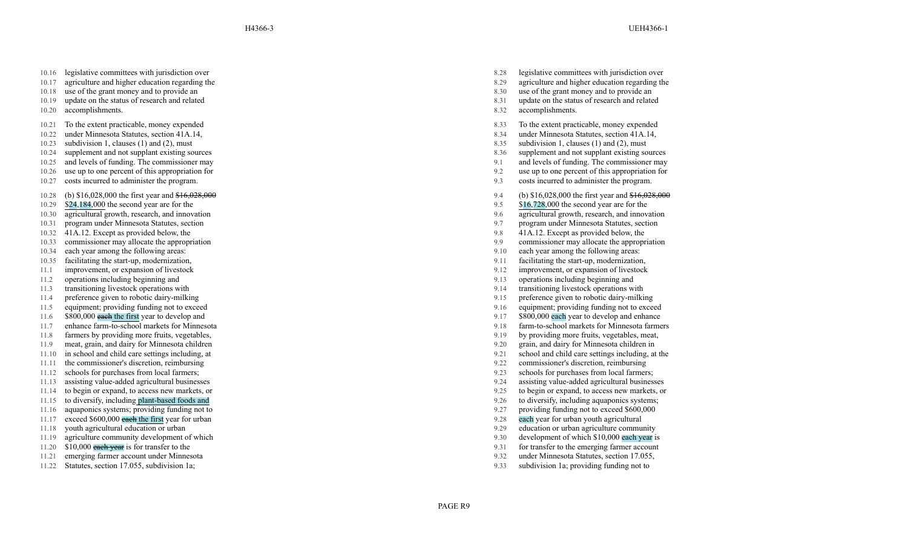- 10.16 legislative committees with jurisdiction over
- 10.17 agriculture and higher education regarding the 10.18 use of the grant money and to provide an
- 10.18 use of the grant money and to provide an 8.30 use of the grant money and to provide an 8.30 use of the grant money and to provide an
- 10.19 update on the status of research and related
- 10.20 accomplishments.
- 10.21 To the extent practicable, money expended
- 10.22 under Minnesota Statutes, section 41A.14,
- 
- 
- 
- 10.26 use up to one percent of this appropriation for
- 10.27 costs incurred to administer the program.
- 10.28 (b) \$16,028,000 the first year and \$16,028,000
- 10.29 \$24 ,184,000 the second year are for the
- 10.30 agricultural growth, research, and innovation 9.6 agricultural growth, research, and innovation
- 
- 
- 
- 
- 10.35 facilitating the start-up, modernization, 9.11 and 19.12 facilitation of the start-up, modernization,
- 
- 
- 
- 11.4 preference given to robotic dairy-milking 9.15 probability of the state of the state of the state of the state of the state of the state of the state of the state of the state of the state of the state of the state of
- 
- 
- 11.7 enhance farm-to-school markets for Minnesota<br>
11.8 farmers by providing more fruits, vegetables, exercises, the state of Minnesota farmers for Minnesota farmers<br>
11.8 farmers by providing more fruits, vegetables, the
- 11.8 farmers by providing more fruits, vegetables, 9.19 by providing more fruits, vegetables, meat, providing more fruits, vegetables, means of the state of the state of the state of the state of the state of the state of
- 11.9 meat, grain, and dairy for Minnesota children in<br>
11.10 in school and child care settings including, at the setting of the settings including, at the setting of the setting of the settings including, at the setting of
- 
- 
- 
- 11.13 assisting value-added agricultural businesses 8.1.14 to begin or expand, to access new markets, or 3.25 to begin or expand, to access new markets, or
- 11.14 to begin or expand, to access new markets, or <br>11.15 to diversify, including plant-based foods and<br>11.15 to diversify, including plant-based foods and<br>9.26 to diversify, including aquaponics systems;
- 11.15 to diversify, including plant-based foods and 9.26 to diversify, including plant-based foods and 9.26
- 11.16 aquaponics systems; providing funding not to 9.27 providing funding not to exceed \$600,000
- 11.17 exceed \$600,000 each the first year for urban 9.28 each year for urban youth agricultural
- 
- 11.19 agriculture community development of which the state of which 810,000 each year is<br>11.20 \$10,000 each year is for transfer to the the state of the state of which \$10,000 each year is for transfer to the emerging farm
- 
- 11.21 emerging farmer account under Minnesota 9.32 under Minnesota Statutes, section 17.055,
- 
- 8.28 legislative committees with jurisdiction over
- 8.29 agriculture and higher education regarding the
- 
- 8.31 update on the status of research and related
- 8.32 accomplishments.
- 8.33 To the extent practicable, money expended
- 8.34 under Minnesota Statutes, section 41A.14,
- 10.23 subdivision 1, clauses (1) and (2), must  $8.35$  subdivision 1, clauses (1) and (2), must
- 10.24 supplement and not supplant existing sources 8.36 supplement and not supplant existing sources
- 10.25 and levels of funding. The commissioner may 9.1 and levels of funding. The commissioner may
	- 9.2 use up to one percent of this appropriation for
	- 9.3 costs incurred to administer the program.
	- 9.4 (b) \$16,028,000 the first year and \$16,028,000
	- 9.5 \$16 ,728,000 the second year are for the
	-
- 10.31 program under Minnesota Statutes, section 9.7 program under Minnesota Statutes, section
- 10.32 41A.12. Except as provided below, the 9.8 41A.12. Except as provided below, the 9.8 41A.12. Except as provided below, the 9.8 41A.12. Except as provided below, the 9.9 commissioner may allocate the appropriation
- 10.33 commissioner may allocate the appropriation 9.9 commissioner may allocate the appropriation
- 10.34 each year among the following areas: 9.10 each year among the following areas: 9.10 each year among the following areas: 9.11 facilitating the start-up, modernization, 9.11 facilitating the start-up, modernization,
	-
- 11.1 improvement, or expansion of livestock 9.12 improvement, or expansion of livestock
- 11.2 operations including beginning and 9.13 operations including beginning and
- 11.3 transitioning livestock operations with transitioning livestock operations with transitioning livestock operations with the preference given to robotic dairy-milking the state of the state of the preference given to r
	-
- 11.5 equipment; providing funding not to exceed 9.16 equipment; providing funding not to exceed
- 11.6 \$800,000 each the first year to develop and the first year to develop and enhance 9.17 \$800,000 each year to develop and enhance
	-
	-
	-
- 11.10 in school and child care settings including, at 9.21 school and child care settings including, at the
- 11.11 the commissioner's discretion, reimbursing 9.22 commissioner's discretion, reimbursing
- 11.12 schools for purchases from local farmers;<br>
11.13 assisting value-added agricultural businesses<br>
11.13 assisting value-added agricultural businesses<br>
11.13 assisting value-added agricultural businesses
	-
	-
	-
	-
	-
- 11.18 youth agricultural education or urban 9.29 education or urban agriculture community
	-
- 11.20 \$10,000 each year is for transfer to the emerging farmer account 9.31 for transfer to the emerging farmer account
	-
- 11.22 Statutes, section 17.055, subdivision 1a; 9.33 subdivision 1a; providing funding not to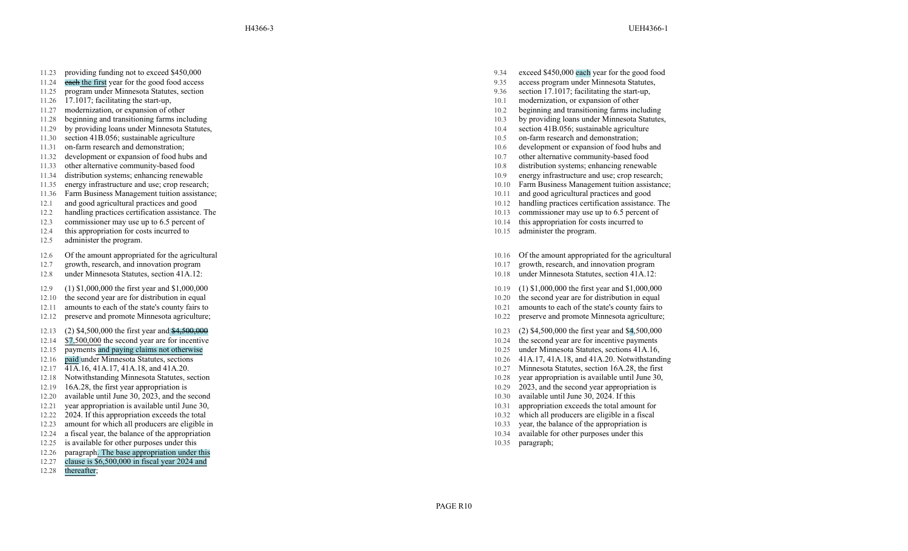- 11.23 providing funding not to exceed \$450,000
- 11.24 each the first year for the good food access
- 11.25 program under Minnesota Statutes, section 17.1017; section 17.1017; section 17.1017; section 17.1017; facilitation 17.1017; facilitation 17.1017; facilitation 17.1017; facilitation 17.1017; facilitation 17.1017; faci
- 
- 
- 
- 
- 11.30 section 41B.056; sustainable agriculture 11.31 on-farm research and demonstration;<br>11.31 on-farm research and demonstration; 10.6 development or expansion of food hu
- 
- 
- 
- 
- 
- 11.36 Farm Business Management tuition assistance; 10.11 and good agricultural practices and good<br>12.1 and good agricultural practices and good 10.12 handling practices certification assistance
- 
- 
- 
- 
- 12.5 administer the program.
- 12.6 Of the amount appropriated for the agricultural
- 12.7 growth, research, and innovation program
- 12.8 under Minnesota Statutes, section 41A.12:
- 12.9 (1) \$1,000,000 the first year and \$1,000,000
- 12.10 the second year are for distribution in equal
- 12.11 amounts to each of the state's county fairs to
- 12.12 preserve and promote Minnesota agriculture;
- 12.13 (2) \$4,500,000 the first year and \$4,500,000
- 12.14 \$ 7,500,000 the second year are for incentive
- 
- 
- 
- 
- 12.19 16A.28, the first year appropriation is 12.20 available until June 30, 2023, and the second year appropriation is 12.20 available until June 30, 2023, and the second year appropriation is 12.20 available until June 3
- 12.20 available until June 30, 2023, and the second 10.30 available until June 30, 2024. If this 12.21 vear appropriation is available until June 30, 2023, and the second 12.21 vear appropriation is available until June 30
- 12.21 year appropriation is available until June 30,  $10.31$
- 12.22 2024. If this appropriation exceeds the total 10.32 which all producers are eligible in the intervals are eligible in the intervals are eligible in the intervals are eligible in the intervals are eligible in the inte
- 12.23 amount for which all producers are eligible in 10.33
- 12.24 a fiscal year , the balance of the appropriation
- 12.25 is available for other purposes under this
- 12.26 paragraph . The base appropriation under this
- 12.27 clause is \$6,500,000 in fiscal year 2024 and
- 12.28 thereafter;
- 9.34 exceed \$450,000 each year for the good food
- 9.35 access program under Minnesota Statutes,<br>9.36 section 17.1017; facilitating the start-up,
- 
- 11.26 17.1017; facilitating the start-up, 11.26 17.1017; facilitating the start-up, 10.1 modernization, or expansion of other 11.27 modernization, or expansion of other 11.27 modernization, or expansion of other 10.2 begin
- 11.27 modernization, or expansion of other 10.2 beginning and transitioning farms including
- 11.28 beginning and transitioning farms including 10.3 by providing loans under Minnesota Statutes,
- 11.29 by providing loans under Minnesota Statutes, 10.4 section 41B.056; sustainable agriculture
	-
- 11.31 on-farm research and demonstration; 10.6 development or expansion of food hubs and
- 11.32 development or expansion of food hubs and 10.7 other alternative community-based food
- 11.33 other alternative community-based food 10.8 distribution systems; enhancing renewable
- 11.34 distribution systems; enhancing renewable the control of the 10.9 energy infrastructure and use; crop research;<br>11.35 energy infrastructure and use; crop research; 10.10 Farm Business Management tuition assistance
- 11.35 energy infrastructure and use; crop research; 10.10 Farm Business Management tuition assistance; 10.10 Farm Business Management tuition assistance;
	-
- 12.1 and good agricultural practices and good 10.12 handling practices certification assistance. The
- 12.2 handling practices certification assistance. The 10.13 commissioner may use up to 6.5 percent of
- 12.3 commissioner may use up to 6.5 percent of 10.14 this appropriation for costs incurred to
- 12.4 this appropriation for costs incurred to 10.15 administer the program.
	- 10.16 Of the amount appropriated for the agricultural
	- 10.17 growth, research, and innovation program
	- 10.18 under Minnesota Statutes, section 41A.12:
	- 10.19 (1) \$1,000,000 the first year and \$1,000,000
	- 10.20 the second year are for distribution in equal
	- 10.21 amounts to each of the state's county fairs to
	- 10.22 preserve and promote Minnesota agriculture;
	- 10.23 (2) \$4,500,000 the first year and \$ 4,500,000
	- 10.24 the second year are for incentive payments
- 12.15 payments and paying claims not otherwise 10.25 under Minnesota Statutes, sections 41A.16, 12.16 paid under Minnesota Statutes, sections 41A.16, 200 under Minnesota Statutes, sections 41A.16, 200 under Minnesota Statu
- 12.16 paid under Minnesota Statutes, sections 10.26 41A.17, 41A.18, and 41A.20. Notwithstanding
- $12.17 \quad \overline{41A}$ .16, 41A.17, 41A.18, and 41A.20. 10.27 Minnesota Statutes, section 16A.28, the first
- 12.18 Notwithstanding Minnesota Statutes, section 10.28 year appropriation is available until June 30,
	-
	-
	-
	- which all producers are eligible in a fiscal
	- year, the balance of the appropriation is
	- 10.34 available for other purposes under this
	- 10.35 paragraph;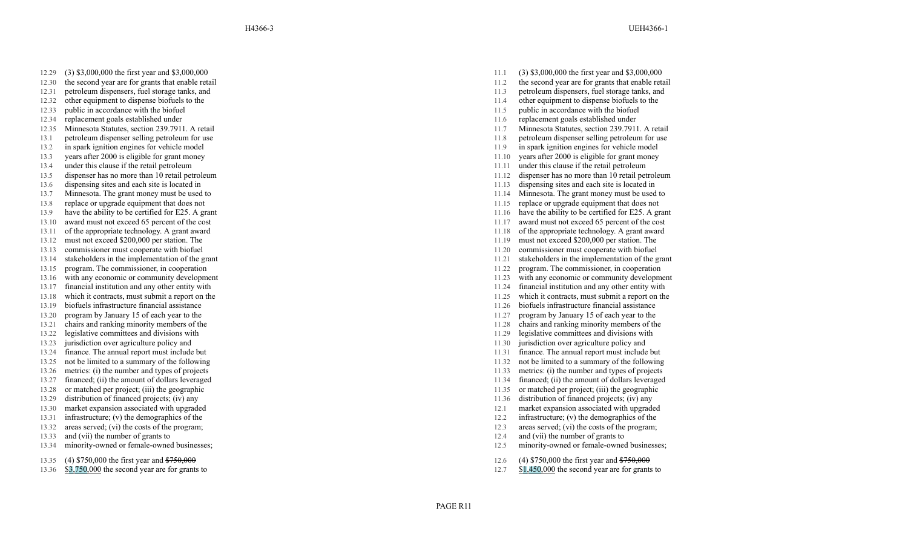- 12.29 (3) \$3,000,000 the first year and \$3,000,000
- 12.30 the second year are for grants that enable retail
- 12.31 petroleum dispensers, fuel storage tanks, and 11.3 petroleum dispensers, fuel storage tanks, and
- 12.32 other equipment to dispense biofuels to the 11.32 other equipment to dispense biofuels to the 12.33 public in accordance with the biofuel 11.5 public in accordance with the biofuel
- 12.33 public in accordance with the biofuel 11.5 public in accordance with the biofuel 11.5
- 
- 12.35 Minnesota Statutes, section 239.7911. A retail
- 
- 
- 
- 
- 
- 
- 
- 13.8 replace or upgrade equipment that does not 11.15
- 13.9 have the ability to be certified for E25. A grant
- 
- 13.11 of the appropriate technology .
- 13.12 must not exceed \$200,000 per station. The 11.19 must not exceed \$200,000 per station. The
- 13.13 commissioner must cooperate with biofuel 11.20 commissioner must cooperate with biofuel
- 
- 13.15 program. The commissioner, in cooperation
- 
- 
- 13.18 which it contracts, must submit a report on the
- 
- 
- 13.20 program by January 15 of each year to the 11.27 program by January 15 of each year to the 11.27 program by January 15 of each year to the 11.28 chairs and ranking minority members of the 11.28 chairs and ranking mino 13.21 chairs and ranking minority members of the 11.28 chairs and ranking minority members of the 11.28 chairs and ranking minority members of the 11.29 chairs and ranking minority members of the 11.29 chairs and ranking m
- 13.22 legislative committees and divisions with 11.29 legislative committees and divisions with 11.29 legislative committees and divisions with 11.29 legislative committees and divisions with 11.30 legislative committees a
- 13.23 jurisdiction over agriculture policy and 11.30 jurisdiction over agriculture policy and
- 13.24 finance. The annual report must include but 11.31 finance. The annual report must include but 11.31 finance.
- 13.25 not be limited to a summary of the following 13.25 not be limited to a summary of the following 11.32 not be limited to
- 
- 13.27 financed; (ii) the amount of dollars leveraged 11.34 financed; (ii) the amount of dollars leveraged 11.34 financed; (ii) the amount of dollars leveraged 11.35 or matched per project; (iii) the geographic 11.35
- 13.28 or matched per project; (iii) the geographic 11.35 or matched per project; (iii) the geographic
- 13.29 distribution of financed projects; (iv) any 11.36 distribution of financed projects; (iv) any
- 13.30 market expansion associated with upgraded 12.1 market expansion associated with upgraded 12.1 market expansion associated with upgraded
- 13.31 infrastructure; (v) the demographics of the 13.32 infrastructure; (v) the demographics of the 13.32 infrastructure; (v) the demographics of the program;<br>13.32 areas served; (vi) the costs of the program; 12.3 areas s
- 13.32 areas served; (vi) the costs of the program; 12.3 areas served; (vi) the costs of the program;
- 13.33 and (vii) the number of grants to
- 13.34 minority-owned or female-owned businesses;
- 13.35 (4) \$750,000 the first year and \$750,000
- 13.36 \$ 3 ,750,000 the second year are for grants to
- 11.1 (3) \$3,000,000 the first year and \$3,000,000
- 11.2 the second year are for grants that enable retail<br>11.3 petroleum dispensers, fuel storage tanks, and
- 
- 
- 
- 12.34 replacement goals established under 11.6 replacement goals established under
	- A retail 11.7 Minnesota Statutes, section 239.7911. A retail
- 13.1 petroleum dispenser selling petroleum for use 11.8 petroleum dispenser selling petroleum for use
- 13.2 in spark ignition engines for vehicle model 11.9 in spark ignition engines for vehicle model
- 13.3 years after 2000 is eligible for grant money 11.10 years after 2000 is eligible for grant money
- 13.4 under this clause if the retail petroleum 11.11 under this clause if the retail petroleum 11.11 under this clause if the retail petroleum
- 13.5 dispenser has no more than 10 retail petroleum 11.12 dispenser has no more than 10 retail petroleum
- 13.6 dispensing sites and each site is located in 11.13 dispensing sites and each site is located in
- 13.7 Minnesota. The grant money must be used to 11.14 Minnesota. The grant money must be used to 11.14 Minnesota. The grant money must be used to 11.15 replace or upgrade equipment that does not
	-
	- A grant 11.16 have the ability to be certified for E25. A grant
- 13.10 award must not exceed 65 percent of the cost 11.17 award must not exceed 65 percent of the cost
	- A grant award 11.18 of the appropriate technology . A grant award
		-
		-
- 13.14 stakeholders in the implementation of the grant 11.21 stakeholders in the implementation of the grant 11.21 stakeholders in the implementation of the grant
	- , in cooperation 11.22 program. The commissioner , in cooperation
- 13.16 with any economic or community development 11.23 with any economic or community development
- 13.17 financial institution and any other entity with 11.24 financial institution and any other entity with
	- a report on the 11.25 which it contracts, must submit a report on the
- 13.19 biofuels infrastructure financial assistance 11.26 biofuels infrastructure financial assistance
	-
	-
	-
	-
	-
	- not be limited to a summary of the following
- 13.26 metrics: (i) the number and types of projects 11.33 metrics: (i) the number and types of projects
	-
	-
	-
	-
	-
	-
	- 12.4 and (vii) the number of grants to
	- 12.5 minority-owned or female-owned businesses;
	- 12.6 (4) \$750,000 the first year and \$750,000
	- 12.7 \$ 1 ,450,000 the second year are for grants to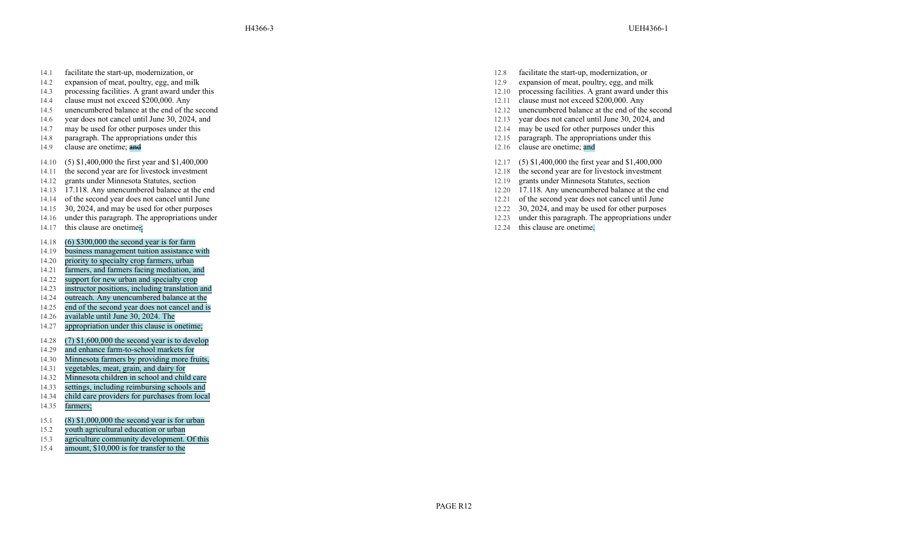- 14.1 facilitate the start-up, modernization, or
- 14.2 expansion of meat, poultry, egg, and milk
- 14.3 processing facilities. A grant award under this 12.10 processing facilities. A grant award under this
- 
- 14.5 unencumbered balance at the end of the second 12.12 unencumbered balance at the end of the second
- 14.6 year does not cancel until June 30, 2024, and 12.13 year does not cancel until June 30, 2024, and
- 14.7 may be used for other purposes under this 12.14 may be used for other purposes under this
- 14.8 paragraph. The appropriations under this
- 14.9 clause are onetime; and
- 14.10 (5) \$1,400,000 the first year and \$1,400,000
- 14.11 the second year are for livestock investment
- 
- 
- 14.14 of the second year does not cancel until June 12.21 of the second year does not cancel until June 14.15 30, 2024, and may be used for other purposes 12.22 30, 2024, and may be used for other purposes
- 14.15 30, 2024, and may be used for other purposes 12.22 30, 2024, and may be used for other purposes
- 14.16 under this paragraph. The appropriations under
- 14.17 this clause are onetime.;
- 14.18 (6) \$300,000 the second year is for farm
- 14.19 business management tuition assistance with
- 14.20 priority to specialty crop farmers, urban
- 14.21 farmers, and farmers facing mediation, and
- 14.22 support for new urban and specialty crop
- 14.23 instructor positions, including translation and
- 14.24 outreach. Any unencumbered balance at the
- 14.25 end of the second year does not cancel and is
- 14.26 available until June 30, 2024. The
- 14.27 appropriation under this clause is onetime;
- 14.28 (7) \$1,600,000 the second year is to develop
- 14.29 and enhance farm-to-school markets for
- 14.30 Minnesota farmers by providing more fruits,
- 14.31 vegetables, meat, grain, and dairy for
- 14.32 Minnesota children in school and child care
- 14.33 settings, including reimbursing schools and
- 14.34 child care providers for purchases from local
- 14.35 farmers;
- 15.1 (8) \$1,000,000 the second year is for urban
- 15.2 youth agricultural education or urban
- 15.3 agriculture community development. Of this
- 15.4 amount, \$10,000 is for transfer to the
- 12.8 facilitate the start-up, modernization, or
- 12.9 expansion of meat, poultry, egg, and milk<br>12.10 processing facilities. A grant award under this
- 
- 14.4 clause must not exceed \$200,000. Any 12.11 clause must not exceed \$200,000. Any 12.12 clause must not exceed \$200,000. Any 12.12 clause must not exceed \$200,000. Any 12.12 clause must not exceed \$200,000. Any
	-
	-
	-
	- 12.15 paragraph. The appropriations under this
	- 12.16 clause are onetime; and
	- 12.17 (5) \$1,400,000 the first year and \$1,400,000
	- 12.18 the second year are for livestock investment
- 14.12 grants under Minnesota Statutes, section 12.19 grants under Minnesota Statutes, section
- 14.13 17.118. Any unencumbered balance at the end 12.20 17.118. Any unencumbered balance at the end 12.20 17.118. Any unencumbered balance at the end 12.21 of the second year does not cancel until June
	-
	-
	- 12.23 under this paragraph. The appropriations under
	- 12.24 this clause are onetime.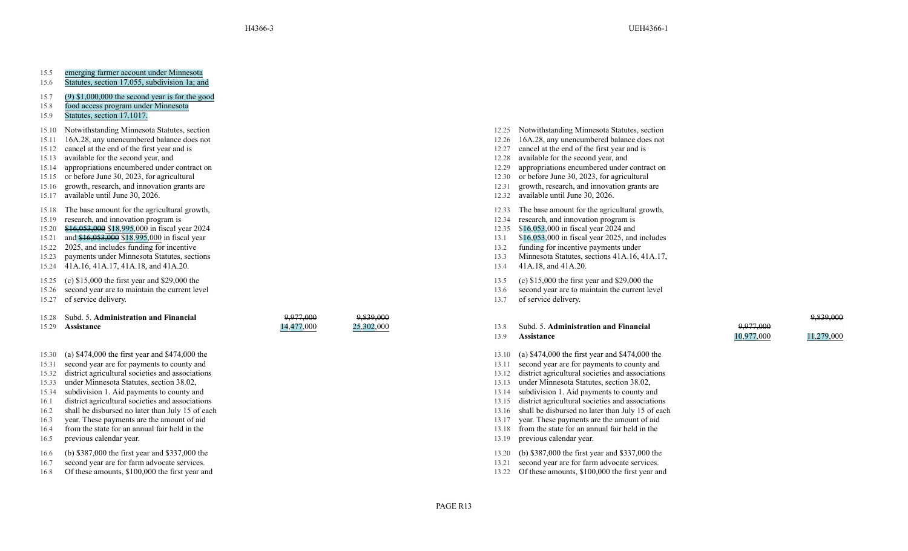## 15.5 emerging farmer account under Minnesota

- 15.6 Statutes, section 17.055, subdivision 1a; and
- 15.7 (9) \$1,000,000 the second year is for the good
- 15.8 food access program under Minnesota
- 15.9 Statutes, section 17.1017.
- 15.10 Notwithstanding Minnesota Statutes, section
- 15.11 16A.28, any unencumbered balance does not
- 15.12 cancel at the end of the first year and is 12.27 cancel at the end of the first year and is
- 
- 15.14 appropriations encumbered under contract on 12.29 appropriations encumbered under contract on
- 
- 15.16 growth, research, and innovation grants are
- 15.17 available until June 30, 2026.
- 15.18 The base amount for the agricultural growth,
- 15.19 research, and innovation program is
- 15.20  $$16,053,000$  in fiscal year 2024 and 15.21 and  $$16,053,000$  in fiscal year 2024 and 15.21 and  $$16,053,000$  in fiscal year 2025, and  $$16,053,000$  in fiscal year 2025, and  $$16,053,000$  in fiscal year 2025, and
- 
- 15.22 2025, and includes funding for incentive 13.2 funding for incentive payments under
- 15.23 payments under Minnesota Statutes, sections
- 15.24 41A.16, 41A.17, 41A.18, and 41A.20.
- 15.25 (c) \$15,000 the first year and \$29,000 the
- 15.26 second year are to maintain the current level
- 15.27 of service delivery.

#### 15.28 Subd. 5. **Administration and Financial** 15.29 **Assistance**

- 15.30 (a) \$474,000 the first year and \$474,000 the
- 15.31 second year are for payments to county and
- 
- 
- 
- 16.1 district agricultural societies and associations 13.15 district agricultural societies and associations 15.15 district agricultural societies and associations 13.16 shall be disbursed no later than July 15 of each 13.
- 16.2 shall be disbursed no later than July 15 of each 13.16 shall be disbursed no later than July 15 of each 13.16
- 
- 16.4 from the state for an annual fair held in the
- 16.5 previous calendar year.
- 16.6 (b) \$387,000 the first year and \$337,000 the
- 16.7 second year are for farm advocate services.
- 16.8 Of these amounts, \$100,000 the first year and 13.22 Of these amounts, \$100,000 the first year and
- 12.25 Notwithstanding Minnesota Statutes, section
- 12.26 16A.28, any unencumbered balance does not<br>12.27 cancel at the end of the first year and is
- 
- 
- 15.13 available for the second year, and 15.14 appropriations encumbered under contract on the second year, and 15.14 appropriations encumbered under contract on the second year, and 12.29 available for the second year, an
- 15.15 or before June 30, 2023, for agricultural 12.30 or before June 30, 2023, for agricultural
	- 12.31 growth, research, and innovation grants are
	- 12.32 available until June 30, 2026.
	- 12.33 The base amount for the agricultural growth,
	- 12.34 research, and innovation program is
	-
- 15.21 and \$16,053,000 \$18,995,000 in fiscal year 13.1 \$16,053,000 in fiscal year 2025, and includes
	-
	- 13.3 Minnesota Statutes, sections 41A.16, 41A.17,
	- 13.4 41A.18, and 41A.20.
	- 13.5 (c) \$15,000 the first year and \$29,000 the
	- 13.6 second year are to maintain the current level
	- 13.7 of service delivery.

# 13.8 Subd. 5. **Administration and Financial** 13.9 **Assistance**

- 13.10 (a) \$474,000 the first year and \$474,000 the
- 13.11 second year are for payments to county and
- 15.32 district agricultural societies and associations 13.12 district agricultural societies and associations
- 15.33 under Minnesota Statutes, section 38.02, 13.13 under Minnesota Statutes, section 38.02,
- 15.34 subdivision 1. Aid payments to county and 13.14 subdivision 1. Aid payments to county and 13.14 subdivision 1. Aid payments to county and 13.15 district agricultural societies and association 1. Aid payments to count
	-
	-
- 16.3 year. These payments are the amount of aid 13.17 year. These payments are the amount of aid
	- 13.18 from the state for an annual fair held in the
	- 13.19 previous calendar year.
	- 13.20 (b) \$387,000 the first year and \$337,000 the
	- 13.21 second year are for farm advocate services.
	-

9,839,000 25,302,000

9,977,000 14,477,000

- 9,839,000 11,279,000 9,977,000 10,977,000
	-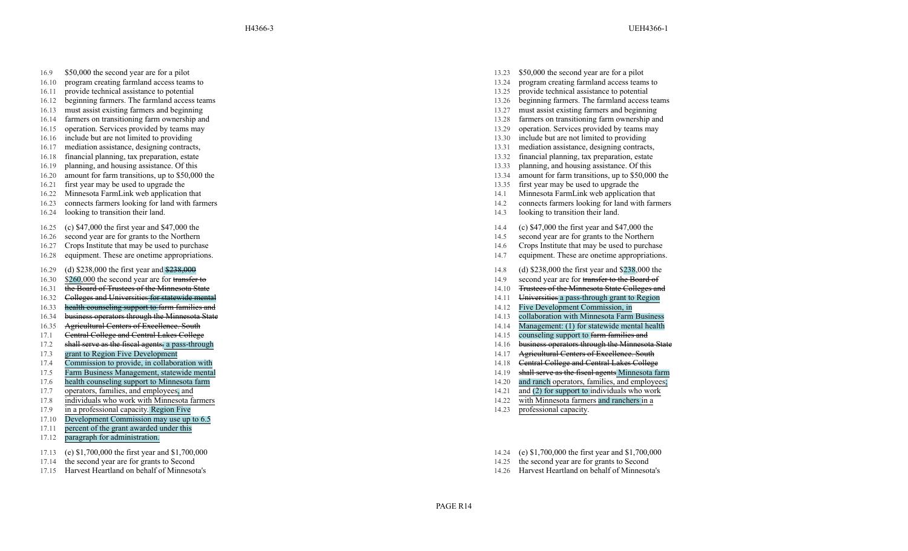H4366-3 UEH4366-1

- 16.9 \$50,000 the second year are for a pilot
- 16.10 program creating farmland access teams to
- 16.11 provide technical assistance to potential 13.25 provide technical assistance to potential
- 16.12 beginning farmers. The farmland access teams 13.26 beginning farmers. The farmland access teams 13.26 beginning farmers. The farmland access teams 13.27 must assist existing farmers and beginning
- 16.13 must assist existing farmers and beginning 13.27 must assist existing farmers and beginning
- 16.14 farmers on transitioning farm ownership and 13.28 farmers on transitioning farm ownership and
- 16.15 operation. Services provided by teams may 13.29 operation. Services provided by teams may
- 
- 16.17 mediation assistance, designing contracts, 13.31 mediation assistance, designing contracts,
- 16.18 financial planning, tax preparation, estate 13.32 financial planning, tax preparation, estate
- 
- 
- 16.21 first year may be used to upgrade the 13.35 first year may be used to upgrade the 13.35
- 16.22 Minnesota FarmLink web application that 14.1 Minnesota FarmLink web application that
- 16.23 connects farmers looking for land with farmers
- 16.24 looking to transition their land.
- 16.25 (c) \$47,000 the first year and \$47,000 the
- 16.26 second year are for grants to the Northern
- 16.27 Crops Institute that may be used to purchase
- 16.28 equipment. These are onetime appropriations.
- 16.29 (d) \$238,000 the first year and \$238,000
- 16.30 \$260,000 the second year are for transfer to
- 16.31 the Board of Trustees of the Minnesota State 14.10 and 14.10 and 14.10 and 14.10 and 14.10 and 14.10 and 14.10 and 14.10 and 14.10 and 14.10 and 14.10 and 14.10 and 14.10 and 14.10 and 14.10 and 14.10 and 14.10 and 1
- 16.32 Colleges and Universities for statewide mental<br>16.33 **health counseling support to farm families and** the state of the state of the state of the state of the state of the state of the state of the state of the state
- 16.33 **health counseling support to farm families and** 14.12
- 16.34 business operators through the Minnesota State 14.13 collaboration with Minnesota Farm Business
- 
- 17.1 Central College and Central Lakes College 14.15 counseling support to farm families and families and families and families and families and families and families and families and families and families and families and
- 17.2 shall serve as the fiscal agents.
- 
- 17.4 Commission to provide, in collaboration with 14.18 Central College and Central Lakes College and Central Lakes College
- 17.5 Farm Business Management, statewide mental 14.19 shall serve as the fiscal agents Minnesota farm
- 
- 17.7 operators, families, and employees, and
- 17.8 individuals who work with Minnesota farmers
- 17.9 a professional capacity . Region Five
- 17.10 Development Commission may use up to 6.5
- 17.11 percent of the grant awarded under this
- 17.12 paragraph for administration.
- 17.13 (e) \$1,700,000 the first year and \$1,700,000
- 17.14 the second year are for grants to Second
- 
- 13.23 \$50,000 the second year are for a pilot
- 13.24 program creating farmland access teams to
- 
- 
- 
- 
- 
- 16.16 include but are not limited to providing 16.16 include but are not limited to providing 16.17 include but are not limited to providing 16.17 include but are not limited to providing to the set of the set of the set o
	-
	-
- 16.19 planning, and housing assistance. Of this 13.33 planning, and housing assistance. Of this
- 16.20 amount for farm transitions, up to \$50,000 the 13.34 amount for farm transitions, up to \$50,000 the 13.34 amount for farm transitions, up to \$50,000 the 13.35 first year may be used to upgrade the 13.35 first year ma
	-
	-
	- 14.2 connects farmers looking for land with farmers
	- 14.3 looking to transition their land.
	- 14.4 (c) \$47,000 the first year and \$47,000 the
	- 14.5 second year are for grants to the Northern
	- 14.6 Crops Institute that may be used to purchase
	- 14.7 equipment. These are onetime appropriations.
	- 14.8 (d) \$238,000 the first year and \$238,000 the
	- 14.9 second year are for transfer to the Board of
	- Trustees of the Minnesota State Colleges and
	- Universities a pass-through grant to Region
	-
	-
- 16.35 Agricultural Centers of Excellence. South 14.14 Management: (1) for statewide mental health<br>
17.1 Central College and Central Lakes College 14.15 Counseling support to farm families and
	-
	- a pass-through 14.16 business operators through 14.16 business operators through the Minnesota State<br>14.17 **Agricultural Centers of Excellence**. South 14.17 **Agricultural Centers of Excellence**. South
- 17.3 grant to Region Five Development 14.17 Agricultural Centers of Excellence. South
	-
	-
- 17.6 health counseling support to Minnesota farm 14.20 and ranch operators, families, and employees;
	- 14.21 and  $(2)$  for support to individuals who work
	- 14.22 with Minnesota farmers and ranchers in a
	- 14.23 professional capacity.
	- 14.24 (e) \$1,700,000 the first year and \$1,700,000
	- 14.25 the second year are for grants to Second
- 17.15 Harvest Heartland on behalf of Minnesota's 14.26 Harvest Heartland on behalf of Minnesota's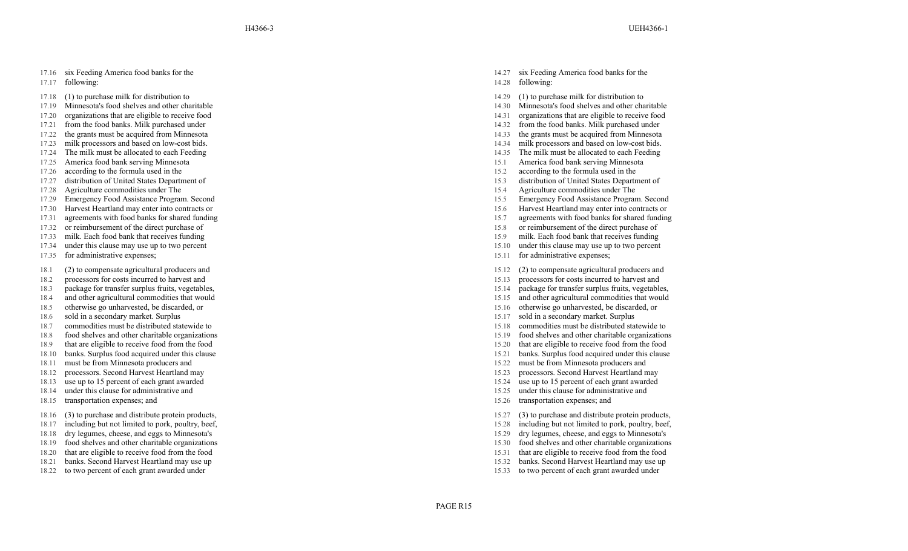- 17.17 following:
- 17.18 (1) to purchase milk for distribution to
- 17.19 Minnesota's food shelves and other charitable
- 17.20 organizations that are eligible to receive food 14.31
- 
- 17.22 the grants must be acquired from Minnesota<br>17.23 milk processors and based on low-cost bids. 14.34 milk processors and based on low-cost bids.
- 17.23 milk processors and based on low-cost bids. 14.34 milk processors and based on low-cost bids.
- 17.24 The milk must be allocated to each Feeding and The milk must be allocated to each Feeding 17.25 The milk must be allocated to each Feeding 17.25 America food bank serving Minnesota 15.1 America food bank serving Minn
- 17.25 America food bank serving Minnesota 15.1 America food bank serving Minnesota
- 17.26 according to the formula used in the 15.2 according to the formula used in the 15.2 according to the formula used in the
- 17.27 distribution of United States Department of 15.3 distribution of United States Department of
- 
- 17.29 Emergency Food Assistance Program. Second 17.30 Emergency Food Assistance Program. Second 17.30 Harvest Heartland may enter into contracts or 15.6 Harvest Heartland may enter into contracts or
- 17.30 Harvest Heartland may enter into contracts or 15.6 harvest Heartland may enter into contracts or 15.6
- 
- 
- 
- 17.34 under this clause may use up to two percent
- 17.35 for administrative expenses;
- 18.1 (2) to compensate agricultural producers and
- 18.2 processors for costs incurred to harvest and
- 
- 18.4 and other agricultural commodities that would 15.15 and other agricultural commodities that would 18.5 and other agricultural commodities that would 18.5 and other agricultural commodities that would 18.5 and other ag
- 18.5 otherwise go unharvested, be discarded, or 15.16 otherwise go unharvested, be discarded, or
- 18.6 sold in a secondary market. Surplus 15.17 sold in
- 18.7 commodities must be distributed statewide to 18.8 commodities must be distributed statewide to 18.8 food shelves and other charitable organizations 15.19 food shelves and other charitable organizations
- 18.8 food shelves and other charitable organizations 18.9 food shelves and other charitable organization<br>18.9 that are eligible to receive food from the food<br>15.20 that are eligible to receive food from the food
- 18.9 that are eligible to receive food from the food<br>18.10 banks. Surplus food acquired under this clause 15.20 that are eligible to receive food from the food<br>15.21 banks. Surplus food acquired under this clause
- 18.10 banks. Surplus food acquired under this clause 15.21 banks. Surplus food acquired under this clause
- 
- 18.12 processors. Second Harvest Heartland may and the second Harvest Heartland may the second Harvest Heartland may the second Harvest Heartland may the second Harvest Heartland may the second Harvest Heartland may the se
- 18.13 use up to 15 percent of each grant awarded 15.24 use up to 15 percent of each grant awarded 15.24
- 18.14 under this clause for administrative and
- 18.15 transportation expenses; and
- 18.16 (3) to purchase and distribute protein products,
- 18.17 including but not limited to pork, poultry, beef,
- 18.18 dry legumes, cheese, and eggs to Minnesota's 15.18 dry legumes, cheese, and eggs to Minnesota's 15.19 dry legumes, cheese, and eggs to Minnesota's 15.19 dry legumes, cheese, and eggs to Minnesota's 15.19 food shelves
- 18.19 food shelves and other charitable organizations 15.30 food shelves and other charitable organizations 15.30
- 
- 
- 
- 14.27 six Feeding America food banks for the 14.28 following:
- 14.29 (1) to purchase milk for distribution to
- 14.30 Minnesota's food shelves and other charitable 14.31 organizations that are eligible to receive food
- 
- 17.21 from the food banks. Milk purchased under 14.32 from the food banks. Milk purchased under 14.32 from the food banks. Milk purchased under
	-
	-
	-
	-
	-
	-
- 17.28 Agriculture commodities under The 17.29 Agriculture commodities under The 17.29 Agriculture commodities under The 17.29 Emergency Food Assistance Program. Second 15.5 Emergency Food Assistance Program. Second
	-
	-
- 17.31 agreements with food banks for shared funding 15.7 agreements with food banks for shared funding 15.7 agreements with food banks for shared funding
- 17.32 or reimbursement of the direct purchase of 15.3 or reimbursement of the direct purchase of 17.3 or reimbursement of the direct purchase of 17.33 milk. Each food bank that receives funding 17.33 milk. Each food bank t
- 17.33 milk. Each food bank that receives funding 15.9 milk. Each food bank that receives funding
	- 15.10 under this clause may use up to two percent
	- 15.11 for administrative expenses;
	- 15.12 (2) to compensate agricultural producers and
	- 15.13 processors for costs incurred to harvest and
- 18.3 package for transfer surplus fruits, vegetables, 18.4 package for transfer surplus fruits, vegetables, 18.4 package for transfer surplus fruits, vegetables, 18.4 package for transfer surplus fruits, vegetables, 18.4 a
	-
	-
	- sold in a secondary market. Surplus
	-
	-
	-
	-
- 18.11 must be from Minnesota producers and 15.22 must be from Minnesota producers and
	-
	-
	- 15.25 under this clause for administrative and
	- 15.26 transportation expenses; and
	- 15.27 (3) to purchase and distribute protein products,
	- 15.28 including but not limited to pork, poultry, beef,
	-
	-
- 18.20 that are eligible to receive food from the food 15.31 that are eligible to receive food from the food
- 18.21 banks. Second Harvest Heartland may use up 15.32 banks. Second Harvest Heartland may use up
- 18.22 to two percent of each grant awarded under 15.33 to two percent of each grant awarded under 15.33 to two percent of each grant awarded under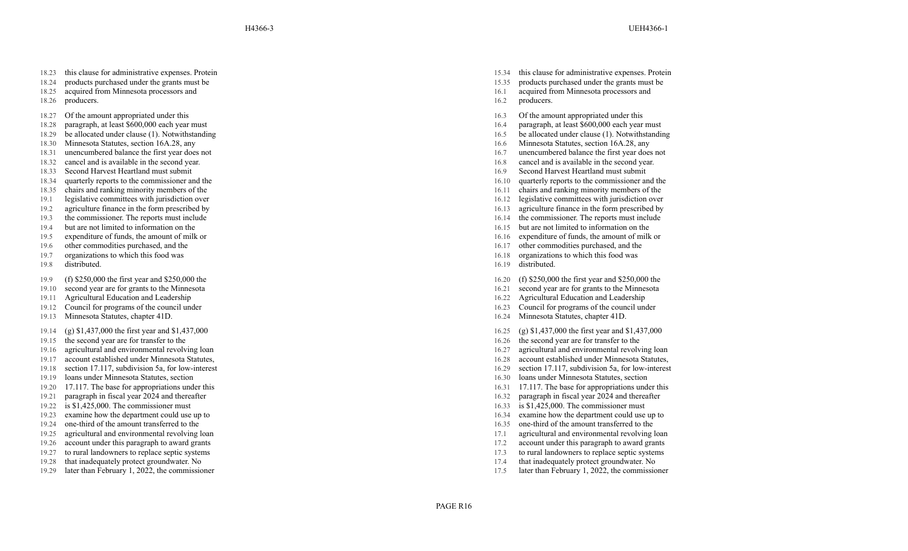- 18.23 this clause for administrative expenses. Protein
- 18.24 products purchased under the grants must be
- 18.25 acquired from Minnesota processors and
- 18.26 producers.
- 18.27 Of the amount appropriated under this
- 18.28 paragraph, at least \$600,000 each year must
- 18.29 be allocated under clause (1). Notwithstanding 16.5 be allocated under clause (1). Notwithstanding 16.5 be allocated under clause (1). Notwithstanding
- 
- 18.31 unencumbered balance the first year does not<br>
18.32 cancel and is available in the second year.<br>
18.32 cancel and is available in the second year.<br>
16.8 cancel and is available in the second year.
- 18.32 cancel and is available in the second year. 16.8 cancel and is available in the second year.
- 18.33 Second Harvest Heartland must submit 16.9 Second Harvest Heartland must submit
- 18.34 quarterly reports to the commissioner and the 16.10 quarterly reports to the commissioner and the
- 
- 19.1 legislative committees with jurisdiction over 16.12 legislative committees with jurisdiction over 19.2 legislative committees with jurisdiction over 19.2 agriculture finance in the form prescribed by 16.13 agriculture
- 19.2 agriculture finance in the form prescribed by 16.13 agriculture finance in the form prescribed by
- 19.3 the commissioner. The reports must include 16.14 the commissioner
- 
- 19.5 expenditure of funds, the amount of milk or 16.16 expenditure of funds, the amount of milk or
- 19.6 other commodities purchased, and the 16.17 other commodities purchased, and the 16.17 other commodities purchased, and the
- 19.7 organizations to which this food was
- 19.8 distributed.
- 19.9 (f) \$250,000 the first year and \$250,000 the
- 19.10 second year are for grants to the Minnesota
- 19.11 Agricultural Education and Leadership 16.22 Agricultural Education and Leadership 16.22
- 19.12 Council for programs of the council under
- 19.13 Minnesota Statutes, chapter 41D.
- 19.14 (g) \$1,437,000 the first year and \$1,437,000
- 19.15 the second year are for transfer to the
- 19.16 agricultural and environmental revolving loan and environmental revolving loan and environmental revolving loan and environmental revolving loan and environmental revolving loan and environmental revolving loan and e
- 19.17 account established under Minnesota Statutes, 16.28 account established under Minnesota Statutes, 16.28
- 
- 
- 
- 19.21 paragraph in fiscal year 2024 and thereafter 19.22 paragraph in fiscal year 2024 and thereafter 19.22 is \$1,425,000. The commissioner must 16.33 is \$1,425,000. The commissioner must
- 19.22 is \$1,425,000. The commissioner must 16.33 is \$1,425,000. The commissioner must
- 19.23 examine how the department could use up to 16.34 examine how the department could use up to
- 19.24 one-third of the amount transferred to the 16.35 one-third of the amount transferred to the
- 
- 19.26 account under this paragraph to award grants 17.2 account under this paragraph to award grants
- 
- 19.28 that inadequately protect groundwater. No
- 19.29 later than February 1, 2022, the commissioner 17.5 later than February 1, 2022, the commissioner
- 15.34 this clause for administrative expenses. Protein
- 15.35 products purchased under the grants must be
- 16.1 acquired from Minnesota processors and
- 16.2 producers.
- 16.3 Of the amount appropriated under this
- 16.4 paragraph, at least \$600,000 each year must
- 
- 18.30 Minnesota Statutes, section 16A.28, any 16.6 Minnesota Statutes, section 16A.28, any 16.31 unencumbered balance the first year does not 16.31 unencumbered balance the first year does not
	-
	-
	-
	-
- 18.35 chairs and ranking minority members of the 16.11 chairs and ranking minority members of the 16.11 chairs and ranking minority members of the 16.12 legislative committees with jurisdiction over
	-
	-
	- the commissioner. The reports must include
- 19.4 but are not limited to information on the 19.5 but are not limited to information on the 19.5 but are not limited to information on the 19.5 but are not limited to information on the 16.15 but are not limited to infor
	-
	-
	- 16.18 organizations to which this food was
	- 16.19 distributed.
	- 16.20 (f) \$250,000 the first year and \$250,000 the
	- 16.21 second year are for grants to the Minnesota<br>16.22 Agricultural Education and Leadership
	-
	- 16.23 Council for programs of the council under
	- 16.24 Minnesota Statutes, chapter 41D.
	- 16.25 (g) \$1,437,000 the first year and \$1,437,000
	- 16.26 the second year are for transfer to the<br>16.27 agricultural and environmental revolving loan
	-
	-
- 19.18 section 17.117, subdivision 5a, for low-interest 16.29 section 17.117, subdivision 5a, for low-interest
- 19.19 loans under Minnesota Statutes, section 16.30 loans under Minnesota Statutes, section
- 19.20 17.117. The base for appropriations under this 16.31 17.117. The base for appropriations under this
	-
	-
	-
	-
- 19.25 agricultural and environmental revolving loan 17.1 agricultural and environmental revolving loan
	-
- 19.27 to rural landowners to replace septic systems 17.3 to rural landowners to replace septic systems
	- . No 17.4 that inadequately protect groundwater . No
		-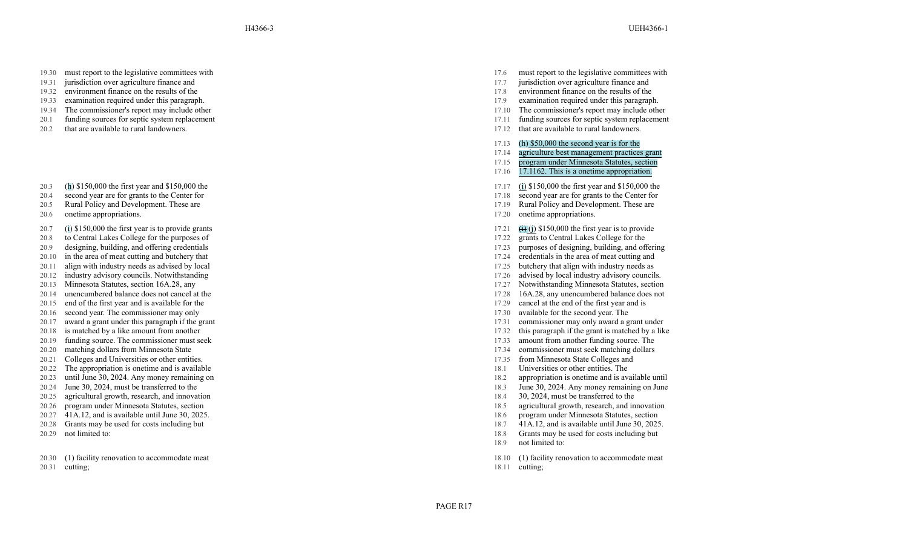- 19.30 must report to the legislative committees with
- 19.31 jurisdiction over agriculture finance and
- 19.32 environment finance on the results of the 17.8 environment finance on the results of the
- 19.33 examination required under this paragraph. 19.34 The commissioner's report may include other 19.34 The commissioner's report may include other 19.34 The commissioner's report may include other 17.10 The commissioner'
- 19.34 The commissioner's report may include other 17.10 The commissioner's report may include other 17.10
- 20.1 funding sources for septic system replacement
- 20.2 that are available to rural landowners.
- 20.3 ( h ) \$150,000 the first year and \$150,000 the
- 20.4 second year are for grants to the Center for
- 20.5 Rural Policy and Development. These are
- 20.6 onetime appropriations.
- 20.7 ( i ) \$150,000 the first year is to provide grants
- 20.8 to Central Lakes College for the purposes of
- 20.9 designing, building, and offering credentials 17.23 purposes of designing, building, and offering and building, and offering credentials 17.24 purposes of designing, building, and offering and building, and offering a
- 20.10 in the area of meat cutting and butchery that 17.24 credentials in the area of meat cutting and 20.11 align with industry needs as advised by local 17.25 butchery that align with industry needs as
- $20.11$  align with industry needs as advised by local  $17.25$
- 
- 
- 
- 
- 20.16 second year. The commissioner may only the second year and the second year of the second year and the second year of the second year and the second year.
- 20.17 award a grant under this paragraph if the grant 17.31 commissioner may only award
- 20.18 is matched by a like amount from another
- 20.19 funding source. The commissioner must seek 17.33 amount from another funding source. The 20.20 matching dollars from Minnesota State 17.34 commissioner must seek matching dollars
- 
- 20.21 Colleges and Universities or other entities. 17.35 for Minnesota State Colleges and Minnesota State Colleges and Universities or other entities.
- 
- 20.23 until June 30, 2024. Any money remaining on 18.2 appropriation is onetime and is available until 20.24 Iune 30, 2024. Any money remaining on June 30, 2024. Any money remaining on June 30, 2024. Any money remaining on
- 
- 20.25 agricultural growth, research, and innovation 18.4 30, 200 and the transferred to the transferred to the transferred to the transferred to the transferred to the transferred to the transferred to the transferred to t
- 
- 
- 
- 

20.30 (1) facility renovation to accommodate meat

20.31 cutting;

- 17.6 must report to the legislative committees with
- 17.7 jurisdiction over agriculture finance and<br>17.8 environment finance on the results of the
- 
- 
- 
- 17.11 funding sources for septic system replacement
- 17.12 that are available to rural landowners.
- 17.13 (h) \$50,000 the second year is for the
- 17.14 agriculture best management practices grant
- 17.15 program under Minnesota Statutes, section
- 17.16 17.1162. This is a onetime appropriation.
- 17.17 ( i ) \$150,000 the first year and \$150,000 the
- 17.18 second year are for grants to the Center for
- 17.19 Rural Policy and Development. These are
- 17.20 onetime appropriations.
- $17.21$ (j ) \$150,000 the first year is to provide
- 17.22 grants to Central Lakes College for the
- 
- 
- 
- 20.12 industry advisory councils. Notwithstanding the councils industry advised by local industry advisory councils.
- 20.13 Minnesota Statutes, section 16A.28, any 17.27 Notwithstanding Minnesota Statutes, section 20.14 unencumbered balance does not cancel at the 17.28 16A.28, any unencumbered balance does not
- 20.14 unencumbered balance does not cancel at the 17.28 16A.28, any unencumbered balance does not
- 20.15 end of the first year and is available for the 17.29 cancel at the end of the first year and is
	- available for the second year. The
	- commissioner may only award a grant under
	- a like amount from another the grant is matched by a like and the grant is matched by a like
		-
- 20.20 matching dollars from Minnesota State 17.34 commissioner must seek matching dollars 20.21 Colleges and Universities or other entities. 17.35 from Minnesota State Colleges and
	-
- 20.22 The appropriation is onetime and is available 18.1 Universities or other entities. The
	-
- 20.24 June 30, 2024, must be transferred to the 18.3 June 30, 2024. Any money remaining on June 20.25 agricultural growth, research, and innovation 18.4 30, 2024, must be transferred to the
	-
- 20.26 program under Minnesota Statutes, section 18.5 agricultural growth, research, and innovation
- 20.27 41A.12, and is available until June 30, 2025.
- 20.28 Grants may be used for costs including but 18.7 41A.12, and is available until June 30, 2025.
- 20.29 not limited to: 18.8 Grants may be used for costs including but
	- 18.9 not limited to:
	- 18.10 (1) facility renovation to accommodate meat
	- 18.11 cutting;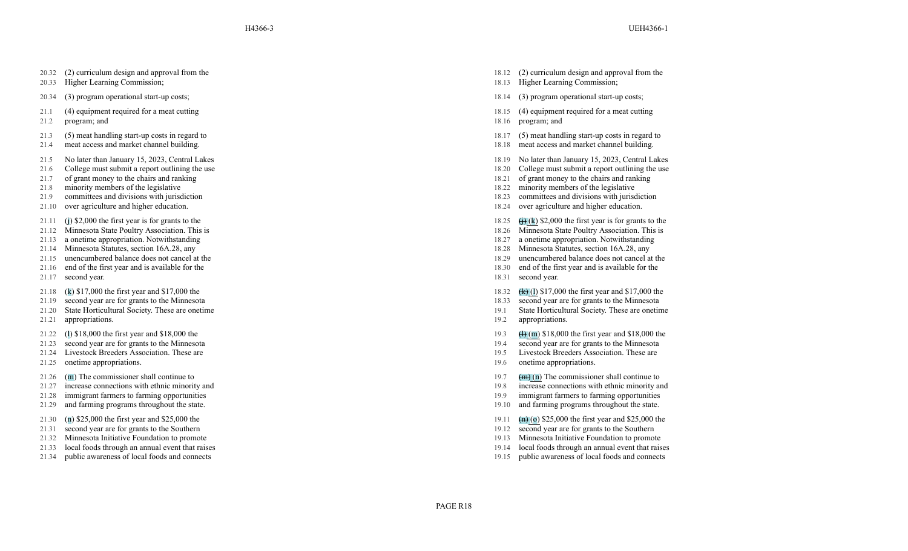- 20.32 (2) curriculum design and approval from the
- 20.33 Higher Learning Commission;
- 20.34 (3) program operational start-up costs; 18.14 (3) program operational start-up costs;
- 21.1 (4) equipment required for a meat cutting
- 21.2 program; and
- 21.3 (5) meat handling start-up costs in regard to
- 21.4 meat access and market channel building.
- 21.5 No later than January 15, 2023, Central Lakes
- 21.6 College must submit a report outlining the use
- 21.7 of grant money to the chairs and ranking 18.21 of grant money to the chairs and ranking
- 21.8 minority members of the legislative 18.22 minority members of the legislative
- 21.9 committees and divisions with jurisdiction
- 21.10 over agriculture and higher education.
- 21.11 (j) \$2,000 the first year is for grants to the
- 21.12 Minnesota State Poultry Association. This is
- 21.13 a onetime appropriation. Notwithstanding 18.27 a onetime appropriation. Notwithstanding
- 21.14 Minnesota Statutes, section 16A.28, any 18.28 Minnesota Statutes, section 16A.28, any 18.29 Minnesota Statutes, section 16A.28, any 18.29 mencumbered balance does not cancel at the
- 21.15 unencumbered balance does not cancel at the 18.29 unencumbered balance does not cancel at the
- 21.16 end of the first year and is available for the
- 21.17 second year.
- 21.18 (k) \$17,000 the first year and \$17,000 the
- 21.19 second year are for grants to the Minnesota
- 21.20 State Horticultural Society. These are onetime
- 21.21 appropriations.
- 21.22 (l) \$18,000 the first year and \$18,000 the
- 21.23 second year are for grants to the Minnesota
- 21.24 Livestock Breeders Association. These are
- 21.25 onetime appropriations.
- 21.26 (m) The commissioner shall continue to
- 21.27 increase connections with ethnic minority and
- 21.28 immigrant farmers to farming opportunities
- 21.29 and farming programs throughout the state.
- 21.30 (n) \$25,000 the first year and \$25,000 the
- 21.31 second year are for grants to the Southern
- 21.32 Minnesota Initiative Foundation to promote 19.13 Minnesota Initiative Foundation to promote
- 
- 
- 18.12 (2) curriculum design and approval from the
- 18.13 Higher Learning Commission;
- 
- 18.15 (4) equipment required for a meat cutting
- 18.16 program; and
- 18.17 (5) meat handling start-up costs in regard to
- 18.18 meat access and market channel building.
- 18.19 No later than January 15, 2023, Central Lakes
- 18.20 College must submit a report outlining the use 18.21 of grant money to the chairs and ranking
- 
- 
- 18.23 committees and divisions with jurisdiction
- 18.24 over agriculture and higher education.
- 18.25  $\leftrightarrow$  (k) \$2,000 the first year is for grants to the
- 18.26 Minnesota State Poultry Association. This is
- 
- 
- 
- 18.30 end of the first year and is available for the
- 18.31 second year.
- 18.32 (k) (l) \$17,000 the first year and \$17,000 the
- 18.33 second year are for grants to the Minnesota
- 19.1 State Horticultural Society. These are onetime
- 19.2 appropriations.
- 19.3  $(h)(m)$  \$18,000 the first year and \$18,000 the
- 19.4 second year are for grants to the Minnesota
- 19.5 Livestock Breeders Association. These are
- 19.6 onetime appropriations.
- 19.7  $\frac{1}{2}$  (n) The commissioner shall continue to
- 19.8 increase connections with ethnic minority and
- 19.9 immigrant farmers to farming opportunities
- 19.10 and farming programs throughout the state.
- 19.11  $\frac{1}{2}$  (o) \$25,000 the first year and \$25,000 the
- 19.12 second year are for grants to the Southern<br>19.13 Minnesota Initiative Foundation to promote
- 
- 21.33 local foods through an annual event that raises 19.14 local foods through an annual event that raises
- 21.34 public awareness of local foods and connects 19.15 public awareness of local foods and connects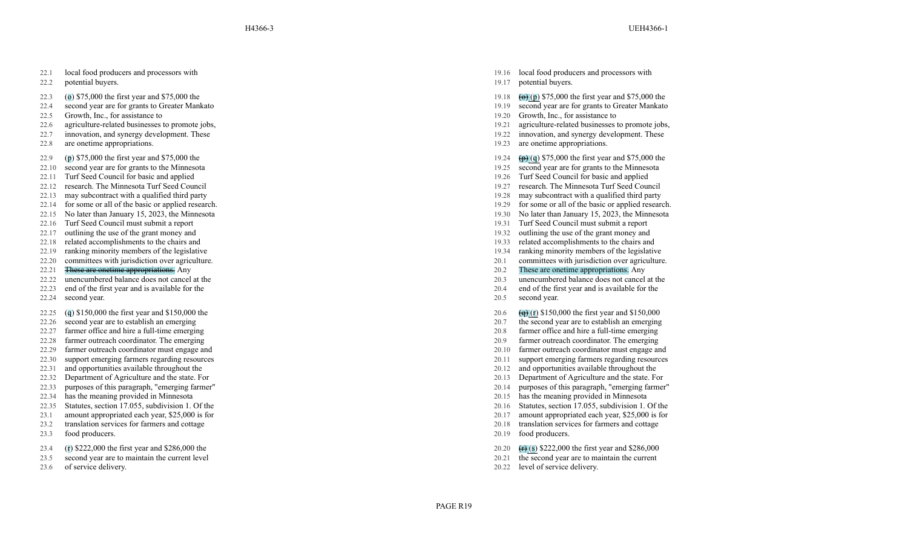H4366-3 UEH4366-1

- 22.1 local food producers and processors with
- 22.2 potential buyers.
- 22.3 ( o ) \$75,000 the first year and \$75,000 the
- 22.4 second year are for grants to Greater Mankato
- 22.5 Growth, Inc., for assistance to 19.20
- 
- 22.7 innovation, and synergy development. These
- 22.8 are onetime appropriations.
- 22.9 ( p ) \$75,000 the first year and \$75,000 the
- 22.10 second year are for grants to the Minnesota
- 22.11 Turf Seed Council for basic and applied 19.26
- 22.12 research. The Minnesota Turf Seed Council
- 22.13 may subcontract with a qualified third party
- 22.14 for some or all of the basic or applied research. 19.29 for some or all of the basic or applied research.
- 22.15 No later than January 15, 2023, the Minnesota 19.30 No later than January 15, 2023, the Minnesota
- 22.16 Turf Seed Council must submit a report that the contract of the contract of the contract of the contract of the contract of the contract of the contract of the contract of the contract of the contract of the contract of the contract of the contract of
- 
- 22.18 related accomplishments to the chairs and 19.33 related accomplishments to the chairs and
- 22.19 ranking minority members of the legislative 19.34 ranking minority members of the legislative 19.34 ranking minority members of the legislative 19.34 ranking minority members of the legislative 20.20 committees with
- 22.20 committees with jurisdiction over agriculture. 20.1 committees with jurisdiction over agriculture.
- 
- 
- 22.23 end of the first year and is available for the
- 22.24 second year.
- 22.25 ( q ) \$150,000 the first year and \$150,000 the
- 22.26 second year are to establish an emerging
- 22.27 farmer office and hire a full-time emerging
- 22.28 farmer outreach coordinator. The emerging
- 
- 
- 
- 
- 
- 
- 
- 23.1 amount appropriated each year, \$25,000 is for
- 23.2 translation services for farmers and cottage
- 23.3 food producers.
- 23.4 ( r ) \$222,000 the first year and \$286,000 the
- 23.5 second year are to maintain the current level
- 23.6 of service delivery.
- 19.16 local food producers and processors with
- 19.17 potential buyers.
- 19.18 ( p ) \$75,000 the first year and \$75,000 the
- 19.19 second year are for grants to Greater Mankato<br>19.20 Growth, Inc., for assistance to
- 
- 22.6 agriculture-related businesses to promote jobs, 19.21 agriculture-related businesses to promote jobs,
	- 19.22 innovation, and synergy development. These
	- 19.23 are onetime appropriations.

#### $19.24$ ( q ) \$75,000 the first year and \$75,000 the

- 19.25 second year are for grants to the Minnesota
- Turf Seed Council for basic and applied
- Turf Seed Council 19.27 research. The Minnesota Turf Seed Council
- a qualified third party and the party of the contract with a qualified third party of the party of the party of the party of the party of the party of the party of the party of the party of the party of the party of the pa
	-
	-
	- Turf Seed Council must submit a report
	-
- 22.17 outlining the use of the grant money and 19.32 outlining the use of the grant money and 19.32 outlining the use of the grant money and 19.32 outlining the use of the grant money and 19.33 related accomplishments to t
	-
	-
- 22.21 These are onetime appropriations. Any 20.2 These are onetime appropriations. Any
- 22.22 unencumbered balance does not cancel at the 20.3 unencumbered balance does not cancel at the
	- 20.4 end of the first year and is available for the
	- 20.5 second year.
	- $20.6$ ( r ) \$150,000 the first year and \$150,000
	- 20.7 the second year are to establish an emerging
	- a full-time emerging 20.8 farmer office and hire a full-time emerging
		- . The emerging 20.9 farmer outreach coordinator . The emerging
- 22.29 farmer outreach coordinator must engage and 20.10 farmer outreach coordinator must engage and 20.10 farmer outreach coordinator must engage and
- 22.30 support emerging farmers regarding resources 20.11 support emerging farmers regarding resources
- 22.31 and opportunities available throughout the 20.12 and opportunities available throughout the
- 22.32 Department of Agriculture and the state. For 20.13 Department of Agriculture and the state. For
- 22.33 purposes of this paragraph, "emerging farmer" 20.14 purposes of this paragraph, "emerging farmer"
- 22.34 has the meaning provided in Minnesota 20.15 has the meaning provided in Minnesota
- 22.35 Statutes, section 17.055, subdivision 1. Of the 20.16 Statutes, section 17.055, subdivision 1. Of the
	- , \$25,000 is for 20.17 amount appropriated each year , \$25,000 is for
		- 20.18 translation services for farmers and cottage
		- 20.19 food producers.
		- 20.20 ( s ) \$222,000 the first year and \$286,000
		- 20.21 the second year are to maintain the current
		- 20.22 level of service delivery.

PAGE R19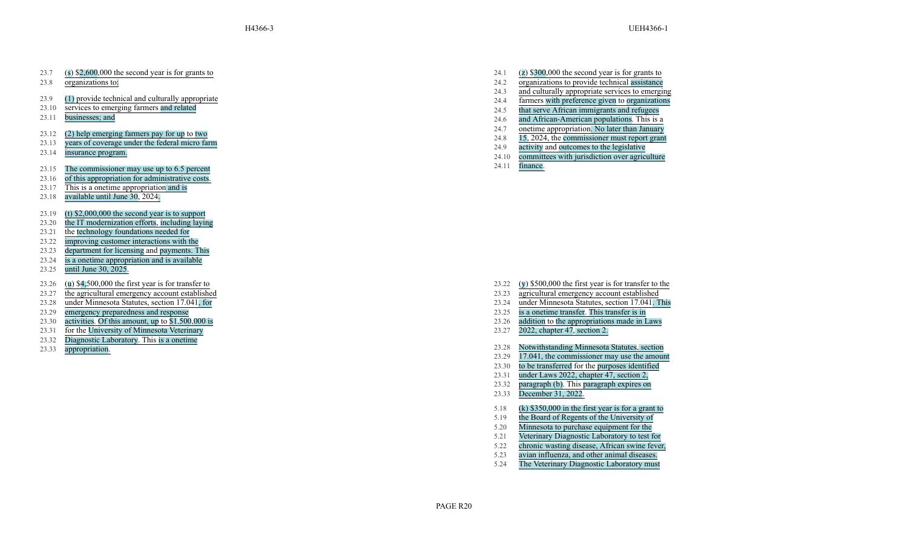- 23.7 ( s ) \$2,600,000 the second year is for grants to
- 23.8 organizations to:
- 23.9 (1) provide technical and culturally appropriate
- 23.10 services to emerging farmers and related
- 23.11 businesses; and
- 23.12 (2) help emerging farmers pay for up to two
- 23.13 years of coverage under the federal micro farm
- 23.14 insurance program.
- 23.15 The commissioner may use up to 6.5 percent 24.11 finance.
- 23.16 of this appropriation for administrative costs.
- 23.17 This is a onetime appropriation and is
- 23.18 available until June 30 , 2024.
- 23.19 (t) \$2,000,000 the second year is to support
- 23.20 the IT modernization efforts , including laying
- 23.21 the technology foundations needed for
- 23.22 improving customer interactions with the
- 23.23 department for licensing and payments. This
- $23.24$ is a onetime appropriation and is available
- 23.25 until June 30, 2025.
- 23.26 ( u ) \$4,500,000 the first year is for transfer to
- 23.27 the agricultural emergency account established
- 23.28 under Minnesota Statutes, section 17.041
- 23.29 emergency preparedness and response 23.25
- 23.30 activities . Of this amount, up to \$1 ,500 ,000 is
- 23.31 for the University of Minnesota Veterinary
- 23.32 Diagnostic Laboratory . This is a onetime
- 23.33 appropriation.
- 24.1 ( z ) \$300,000 the second year is for grants to 24.2 organizations to provide technical assistance 24.3 and culturally appropriate services to emerging 24.4 farmers with preference given to organizations 24.5 that serve African immigrants and refugees 24.6 and African-American populations . This is a 24.7 onetime appropriation . No later than January 24.8 15, 2024, the commissioner must report grant 24.9 activity and outcomes to the legislative
- 24.10 committees with jurisdiction over agriculture
- 

- 23.22 ( y ) \$500,000 the first year is for transfer to the
- 23.23 agricultural emergency account established
- , for 23.24 under Minnesota Statutes, section 17.041 . This
	- a onetime transfer . This transfer is in
	- 23.26 addition to the appropriations made in Laws
	- 23.27 2022, chapter 47 , section 2.
	- 23.28 Notwithstanding Minnesota Statutes , section
	- 23.29 17.041, the commissioner may use the amount
	- 23.30 to be transferred for the purposes identified
	- 23.31 under Laws 2022, chapter 47, section 2,
	- 23.32 paragraph (b) . This paragraph expires on 23.33 December 31, 2022.
	-
	- 5.18 (k) \$350,000 in the first year is for a grant to 5.19 the Board of Regents of the University of
	- 5.20 Minnesota to purchase equipment for the
	- 5.21 Veterinary Diagnostic Laboratory to test for
	- 5.22 chronic wasting disease, African swine fever,
	- 5.23 avian influenza, and other animal diseases.
	- 5.24 The Veterinary Diagnostic Laboratory must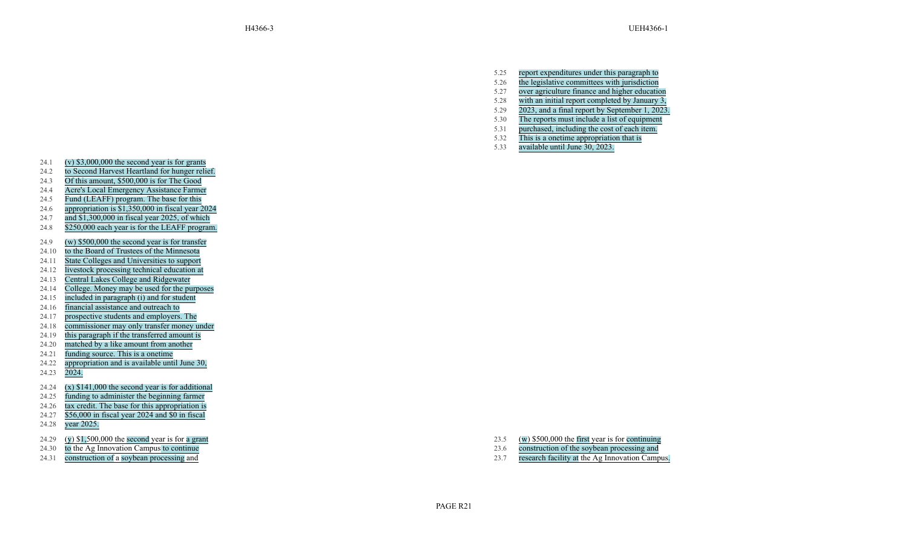- 5.25 report expenditures under this paragraph to
- 5.26 the legislative committees with jurisdiction
- 5.27 over agriculture finance and higher education
- 5.28 with an initial report completed by January 3,
- 5.29 2023, and a final report by September 1, 2023.
- 5.30 The reports must include a list of equipment
- 5.31 purchased, including the cost of each item.
- 5.32 This is a onetime appropriation that is
- 5.33 available until June 30, 2023.

- 24.1 (v) \$3,000,000 the second year is for grants
- 24.2 to Second Harvest Heartland for hunger relief.
- 24.3 Of this amount, \$500,000 is for The Good
- 24.4 Acre's Local Emergency Assistance Farmer
- 24.5 Fund (LEAFF) program. The base for this
- 24.6 appropriation is \$1,350,000 in fiscal year 2024
- 24.7 and \$1,300,000 in fiscal year 2025, of which
- 24.8 \$250,000 each year is for the LEAFF program.
- 24.9 (w) \$500,000 the second year is for transfer
- 24.10 to the Board of Trustees of the Minnesota
- 24.11 State Colleges and Universities to support
- 24.12 livestock processing technical education at
- 24.13 Central Lakes College and Ridgewater
- 24.14 College. Money may be used for the purposes
- 24.15 included in paragraph (i) and for student
- 24.16 financial assistance and outreach to
- 24.17 prospective students and employers. The
- 24.18 commissioner may only transfer money under
- 24.19 this paragraph if the transferred amount is
- 24.20 matched by a like amount from another
- 24.21 funding source. This is a onetime
- 24.22 appropriation and is available until June 30,
- 24.23 2024.
- 24.24  $(x)$  \$141,000 the second year is for additional
- 24.25 funding to administer the beginning farmer
- 24.26 tax credit. The base for this appropriation is
- 24.27 \$56,000 in fiscal year 2024 and \$0 in fiscal
- 24.28 year 2025.
- 24.29 ( y ) \$1,500,000 the second year is for a grant
- 24.30 to the Ag Innovation Campus to continue
- 24.31 construction of a soybean processing and

23.5 ( w ) \$500,000 the first year is for continuing 23.6 construction of the soybean processing and 23.7 research facility at the Ag Innovation Campus.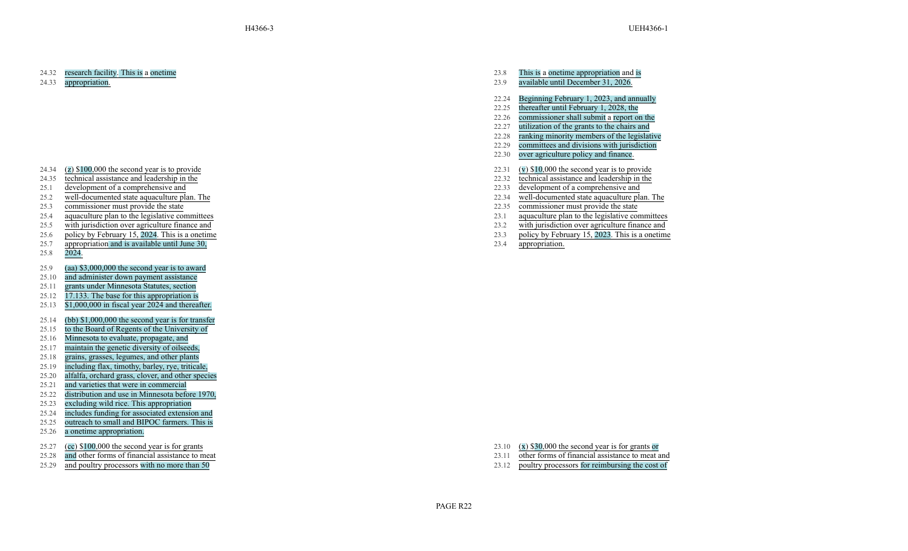### 24.32 research facility. This is a onetime

24.33 appropriation.

- 24.34  $(z)$  \$100,000 the second year is to provide
- 24.35 technical assistance and leadership in the
- 
- 25.2 well-documented state aquaculture plan. The 22.34 well-documented state aquaculture plan. The
- 
- 25.4 aquaculture plan to the legislative committees 23.1 aquaculture plan to the legislative committees
- 25.5 with jurisdiction over agriculture finance and 23.2 with jurisdiction over agriculture finance and
- 25.6 policy by February 15, 2024. This is a onetime
- 25.7 appropriation and is available until June 30,
- 25.8 2024.
- 25.9 (aa) \$3,000,000 the second year is to award
- 25.10 and administer down payment assistance
- 25.11 grants under Minnesota Statutes, section
- 25.12 17.133. The base for this appropriation is
- 25.13 \$1,000,000 in fiscal year 2024 and thereafter.
- 25.14 (bb) \$1,000,000 the second year is for transfer
- 25.15 to the Board of Regents of the University of
- 25.16 Minnesota to evaluate, propagate, and
- 25.17 maintain the genetic diversity of oilseeds,
- 25.18 grains, grasses, legumes, and other plants
- 25.19 including flax, timothy, barley, rye, triticale,
- 25.20 alfalfa, orchard grass, clover, and other species
- 25.21 and varieties that were in commercial
- 25.22 distribution and use in Minnesota before 1970,
- 25.23 excluding wild rice. This appropriation
- 25.24 includes funding for associated extension and
- 25.25 outreach to small and BIPOC farmers. This is
- 25.26 a onetime appropriation.
- 25.27 (cc) \$100,000 the second year is for grants
- 25.28 and other forms of financial assistance to meat
- 
- 23.8 This is a onetime appropriation and is
- 23.9 available until December 31, 2026.
- 22.24 Beginning February 1, 2023, and annually
- 22.25 thereafter until February 1, 2028, the
- 22.26 commissioner shall submit a report on the
- 22.27 utilization of the grants to the chairs and
- 22.28 ranking minority members of the legislative
- 22.29 committees and divisions with jurisdiction
- 22.30 over agriculture policy and finance.
- 22.31 (v) \$10,000 the second year is to provide
- 22.32 technical assistance and leadership in the
- 25.1 development of a comprehensive and 25.2 development of a comprehensive and 25.2 development of a comprehensive and 22.33 development of a comprehensive and 22.34 well-documented state aquaculture plan. The 22.34 well-
	-
- 25.3 commissioner must provide the state 22.35 commissioner must provide the state
	-
	-
	- 23.3 policy by February 15, 2023. This is a onetime
	- 23.4 appropriation.

- 23.10 (x) \$30,000 the second year is for grants or
- 23.11 other forms of financial assistance to meat and
- 25.29 and poultry processors with no more than 50 23.12 poultry processors for reimbursing the cost of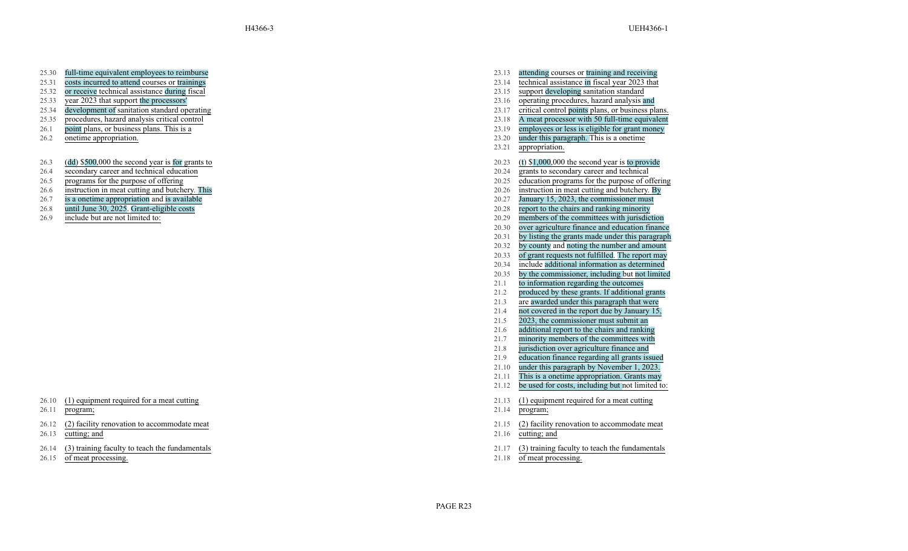- 25.30 full-time equivalent employees to reimburse
- 25.31 costs incurred to attend courses or trainings
- 
- 
- 
- 25.35 procedures, hazard analysis critical control 23.18
- 26.1 point plans, or business plans. This is a
- 26.2 onetime appropriation.
- 26.3 (dd ) \$500,000 the second year is for grants to
- 26.4 secondary career and technical education
- 
- 26.6 instruction in meat cutting and butchery. This
- 26.7 is a onetime appropriation and is available
- 26.8 until June 30, 2025. Grant-eligible costs
- 

- 26.10 (1) equipment required for a meat cutting
- 26.11 program;
- 26.12 (2) facility renovation to accommodate meat
- 26.13 cutting; and
- 26.14 (3) training faculty to teach the fundamentals
- 26.15 of meat processing.
- 23.13 attending courses or training and receiving
- 23.14 technical assistance in fiscal year 2023 that
- 25.32 or receive technical assistance during fiscal 25.32 or receive technical assistance during fiscal 25.33 support developing sanitation standard 25.33 support developing sanitation standard 23.15 support developing san
- 25.33 year 2023 that support the processors' 23.16 operating procedures, hazard analysis and
- 25.34 development of sanitation standard operating 23.17 critical control points plans, or business plans.
	- A meat processor with 50 full-time equivalent
	- 23.19 employees or less is eligible for grant money
	- 23.20 under this paragraph. This is a onetime
	- 23.21 appropriation.
	- 20.23 ( t ) \$1,000,000 the second year is to provide
	- 20.24 grants to secondary career and technical
- 26.5 programs for the purpose of offering 20.25 education programs for the purpose of offering
	- . This 20.26 instruction in meat cutting and butchery . By
		- $20.27$  January 15, 2023, the commissioner must
		- 20.28 report to the chairs and ranking minority
- 26.9 include but are not limited to: 20.29 members of the committees with jurisdiction
	- 20.30 over agriculture finance and education finance
	- 20.31 by listing the grants made under this paragraph
	- 20.32 by county and noting the number and amount
	- 20.33 of grant requests not fulfilled . The report may
	- 20.34 include additional information as determined
	- 20.35 by the commissioner , including but not limited
	- 21.1 to information regarding the outcomes
	- 21.2 produced by these grants. If additional grants
	- 21.3 are awarded under this paragraph that were
	- 21.4 not covered in the report due by January 15,
	- 21.5 2023, the commissioner must submit an
	- 21.6 additional report to the chairs and ranking
	- 21.7 minority members of the committees with
	- 21.8 jurisdiction over agriculture finance and
	- 21.9 education finance regarding all grants issued
	- 21.10 under this paragraph by November 1, 2023.
	- 21.11 This is a onetime appropriation. Grants may
	- 21.12 be used for costs, including but not limited to:
	- 21.13 (1) equipment required for a meat cutting
	- 21.14 program;
	- 21.15 (2) facility renovation to accommodate meat
	- 21.16 cutting; and
	- 21.17 (3) training faculty to teach the fundamentals
	- 21.18 of meat processing.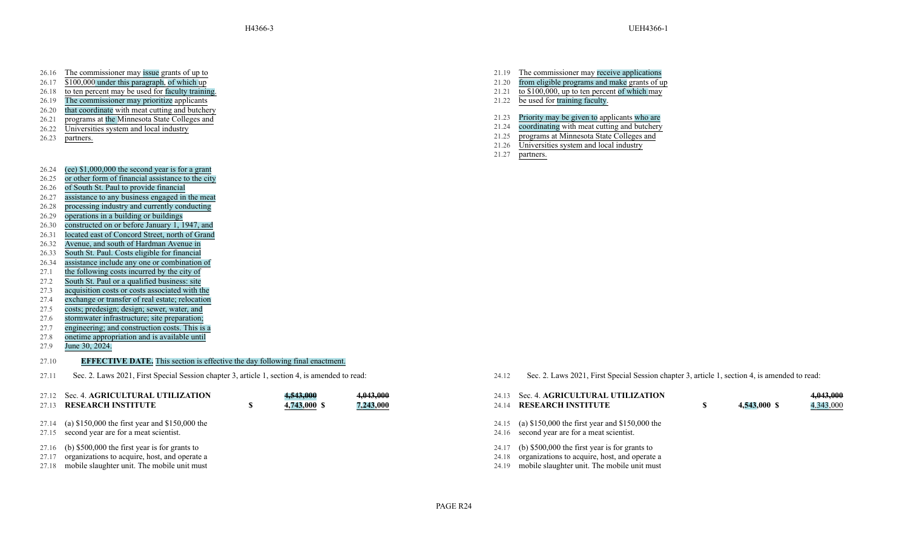- 26.16 The commissioner may issue grants of up to
- 26.17 \$100,000 under this paragraph, of which up
- 26.18 to ten percent may be used for faculty training.
- 26.19 The commissioner may prioritize applicants
- 26.20 that coordinate with meat cutting and butchery
- 26.21 programs at the Minnesota State Colleges and
- 26.22 Universities system and local industry
- 
- 26.24 (ee) \$1,000,000 the second year is for a grant
- 26.25 or other form of financial assistance to the city
- 26.26 of South St. Paul to provide financial
- 26.27 assistance to any business engaged in the meat
- 26.28 processing industry and currently conducting
- 26.29 operations in a building or buildings
- 26.30 constructed on or before January 1, 1947, and
- 26.31 located east of Concord Street, north of Grand
- 26.32 Avenue, and south of Hardman Avenue in
- 26.33 South St. Paul. Costs eligible for financial
- 26.34 assistance include any one or combination of
- 27.1 the following costs incurred by the city of
- 27.2 South St. Paul or a qualified business: site
- 27.3 acquisition costs or costs associated with the
- 27.4 exchange or transfer of real estate; relocation
- 27.5 costs; predesign; design; sewer, water, and
- 27.6 stormwater infrastructure; site preparation;
- 27.7 engineering; and construction costs. This is a
- 27.8 onetime appropriation and is available until
- 27.9 June 30, 2024.

# 27.10 **EFFECTIVE DATE.** This section is effective the day following final enactment.

27.11 Sec. 2. Laws 2021, First Special Session chapter 3, article 1, section 4, is amended to read: 24.12 Sec. 2. Laws 2021, First Special Session chapter 3, article 1, section 4, is amended to read:

| 27.12 Sec. 4. AGRICULTURAL UTILIZATION<br>27.13 RESEARCH INSTITUTE | S. | 4,543,000<br>4,743,000 \$ | 4,043,000<br>7,243,000 |
|--------------------------------------------------------------------|----|---------------------------|------------------------|
| 27.14 (a) \$150,000 the first year and \$150,000 the               |    |                           |                        |
| 27.15 second year are for a meat scientist.                        |    |                           |                        |

- 
- 27.16 (b) \$500,000 the first year is for grants to
- 27.17 organizations to acquire, host, and operate a 27.18 mobile slaughter unit. The mobile unit must
- 21.19 The commissioner may receive applications 21.20 from eligible programs and make grants of up 21.21 to  $$100,000$ , up to ten percent of which may 21.22 be used for training faculty.
- 21.23 Priority may be given to applicants who are
- 21.24 coordinating with meat cutting and butchery
- 26.23 partners.<br>
26.23 partners.<br>
21.26 Universities system and local industry
	- Universities system and local industry
	- 21.27 partners.

| 24.13<br>24.14          | Sec. 4. AGRICULTURAL UTILIZATION<br><b>RESEARCH INSTITUTE</b>                                                                                  | \$<br>4,543,000 \$ | 4,343,000 |
|-------------------------|------------------------------------------------------------------------------------------------------------------------------------------------|--------------------|-----------|
| 24.15<br>24.16          | (a) $$150,000$ the first year and $$150,000$ the<br>second year are for a meat scientist.                                                      |                    |           |
| 24.17<br>24.18<br>24.19 | (b) $$500,000$ the first year is for grants to<br>organizations to acquire, host, and operate a<br>mobile slaughter unit. The mobile unit must |                    |           |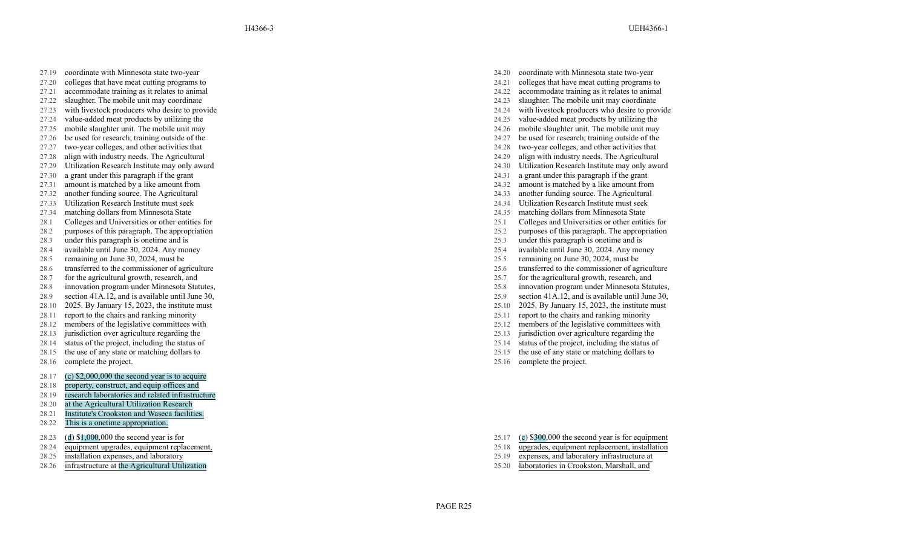- 27.19 coordinate with Minnesota state two-year
- 27.20 colleges that have meat cutting programs to
- 
- 27.22 slaughter . The mobile unit may coordinate 24.23 slaughter 27.23 with livestock producers who desire to provide 24.24 with livestock producers who desire to provide
- 
- 27.25 mobile slaughter unit. The mobile unit may 24.26 mobile slaughter unit. The mobile unit may
- 
- 27.27 two-year colleges, and other activities that 24.28 two-year colleges, and other activities that
- 27.28 align with industry needs. The Agricultural 24.29 align with industry needs. The Agricultural
- 27.29 Utilization Research Institute may only award 24.30 Utilization Research Institute may only award
- 27.30 a grant under this paragraph if the grant 24.31
- 27.31 amount is matched by a like amount from
- 
- 27.33 Utilization Research Institute must seek 24.34 Utilization Research Institute must seek
- 27.34 matching dollars from Minnesota State 24.35 matching dollars from Minnesota State
- 28.1 Colleges and Universities or other entities for 25.1 Colleges and Universities or other entities for
- 
- 
- 28.4 available until June 30, 2024. Any money 25.4 available until June 30, 2024. Any money
- 
- 
- 
- 
- 28.9 section 41A.12, and is available until June 30, 25.9 section 41A.12, and is available until June 30,
- 28.10 2025. By January 15, 2023, the institute must 25.10 2025. By January 15, 2023, the institute must
- 
- 28.12 members of the legislative committees with 25.12 members of the legislative committees with 25.13 members of the legislative committees with 25.13 jurisdiction over agriculture regarding the
- 28.13 jurisdiction over agriculture regarding the 28.14 status of the project, including the status of the project, including the status of 25.14 status of the project, including the status of
- 28.14 status of the project, including the status of 25.14 status of 25.14
- 28.15 the use of any state or matching dollars to
- 28.16 complete the project.
- 28.17 (c) \$2,000,000 the second year is to acquire
- 28.18 property, construct, and equip offices and
- 28.19 research laboratories and related infrastructure
- 28.20 at the Agricultural Utilization Research
- 28.21 Institute's Crookston and Waseca facilities.
- 28.22 This is a onetime appropriation.
- 28.23 ( d ) \$1,000,000 the second year is for
- 28.24 equipment upgrades, equipment replacement,
- 
- 
- 24.20 coordinate with Minnesota state two-year
- 24.21 colleges that have meat cutting programs to
- 27.21 accommodate training as it relates to animal 24.22 accommodate training as it relates to animal
	- slaughter. The mobile unit may coordinate<br>with livestock producers who desire to provide
	-
- 27.24 value-added meat products by utilizing the 24.25 value-added meat products by utilizing the
	-
- 27.26 be used for research, training outside of the 27.27 be used for research, training outside of the 27.27 be used for research, training outside of the 24.27 be used for research, training outside of the 24.28 two-year
	-
	-
	-
	- a grant under this paragraph if the grant
	- a like amount from 24.32 amount is matched by a like amount from
- 27.32 another funding source. The Agricultural 27.32 another funding source. The Agricultural 27.33 another funding source. The Agricultural 27.33 another funding source. The Agricultural 24.34 Utilization Research Institu
	-
	-
	-
- 28.2 purposes of this paragraph. The appropriation 25.2 purposes of this paragraph. The appropriation
- 28.3 under this paragraph is onetime and is 25.3 under this paragraph is onetime and is 25.4 available until June 30, 2024. Any money 25.4 available until June 30, 2024. Any money
	-
- 28.5 remaining on June 30, 2024, must be 25.5 remaining on June 30, 2024, must be
- 28.6 transferred to the commissioner of agriculture 25.6 transferred to the commissioner of agriculture
- 28.7 for the agricultural growth, research, and 25.7 for the agricultural growth, research, and 25.7 for the agricultural growth, research, and
- 28.8 innovation program under Minnesota Statutes, 28.9 innovation program under Minnesota Statutes, 28.9 innovation program under Minnesota Statutes, 28.9 section 41A.12, and is available until June 30,
	-
	-
- 28.11 report to the chairs and ranking minority 25.11 report to the chairs and ranking minority
	-
	-
	-
	- 25.15 the use of any state or matching dollars to
	- 25.16 complete the project.

- 25.17 ( c ) \$300,000 the second year is for equipment
- 25.18 upgrades, equipment replacement, installation
- 28.25 installation expenses, and laboratory **25.19** expenses, and laboratory infrastructure at
- 28.26 infrastructure at the Agricultural Utilization 25.20 laboratories in Crookston, Marshall, and

PAGE R25